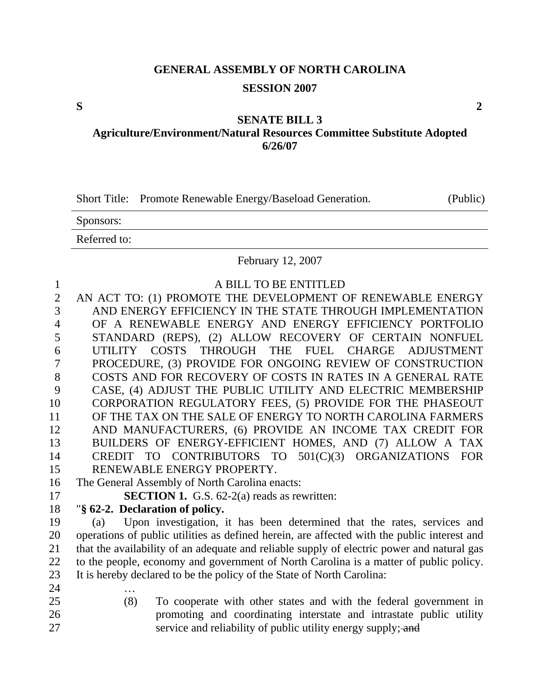# **GENERAL ASSEMBLY OF NORTH CAROLINA SESSION 2007**

#### **SENATE BILL 3**

**Agriculture/Environment/Natural Resources Committee Substitute Adopted 6/26/07** 

|  | Short Title: Promote Renewable Energy/Baseload Generation. | (Public) |
|--|------------------------------------------------------------|----------|
|--|------------------------------------------------------------|----------|

Sponsors:

Referred to:

#### February 12, 2007

| $\mathbf{1}$   | A BILL TO BE ENTITLED                                                                       |
|----------------|---------------------------------------------------------------------------------------------|
| $\overline{2}$ | AN ACT TO: (1) PROMOTE THE DEVELOPMENT OF RENEWABLE ENERGY                                  |
|                |                                                                                             |
| 3              | AND ENERGY EFFICIENCY IN THE STATE THROUGH IMPLEMENTATION                                   |
| 4              | OF A RENEWABLE ENERGY AND ENERGY EFFICIENCY PORTFOLIO                                       |
| 5              | STANDARD (REPS), (2) ALLOW RECOVERY OF CERTAIN NONFUEL                                      |
| 6              | UTILITY COSTS THROUGH THE FUEL CHARGE ADJUSTMENT                                            |
| 7              | PROCEDURE, (3) PROVIDE FOR ONGOING REVIEW OF CONSTRUCTION                                   |
| 8              | COSTS AND FOR RECOVERY OF COSTS IN RATES IN A GENERAL RATE                                  |
| 9              | CASE, (4) ADJUST THE PUBLIC UTILITY AND ELECTRIC MEMBERSHIP                                 |
| 10             | CORPORATION REGULATORY FEES, (5) PROVIDE FOR THE PHASEOUT                                   |
| 11             | OF THE TAX ON THE SALE OF ENERGY TO NORTH CAROLINA FARMERS                                  |
| 12             | AND MANUFACTURERS, (6) PROVIDE AN INCOME TAX CREDIT FOR                                     |
| 13             | BUILDERS OF ENERGY-EFFICIENT HOMES, AND (7) ALLOW A TAX                                     |
| 14             | CREDIT TO CONTRIBUTORS TO 501(C)(3) ORGANIZATIONS FOR                                       |
| 15             | RENEWABLE ENERGY PROPERTY.                                                                  |
| 16             | The General Assembly of North Carolina enacts:                                              |
| 17             | <b>SECTION 1.</b> G.S. $62-2(a)$ reads as rewritten:                                        |
| 18             | "§ 62-2. Declaration of policy.                                                             |
| 19             | Upon investigation, it has been determined that the rates, services and<br>(a)              |
| 20             | operations of public utilities as defined herein, are affected with the public interest and |
| 21             | that the availability of an adequate and reliable supply of electric power and natural gas  |
| 22             | to the people, economy and government of North Carolina is a matter of public policy.       |
| 23             | It is hereby declared to be the policy of the State of North Carolina:                      |
| 24             |                                                                                             |
| 25             | To cooperate with other states and with the federal government in<br>(8)                    |
| 26             | promoting and coordinating interstate and intrastate public utility                         |
|                |                                                                                             |
| 27             | service and reliability of public utility energy supply; and                                |

**S 2**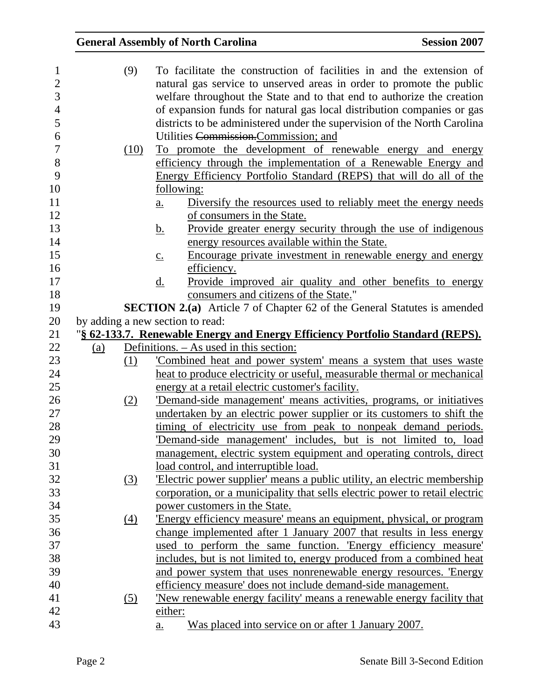| 1              |     | (9)  | To facilitate the construction of facilities in and the extension of                |
|----------------|-----|------|-------------------------------------------------------------------------------------|
| $\overline{2}$ |     |      | natural gas service to unserved areas in order to promote the public                |
| 3              |     |      | welfare throughout the State and to that end to authorize the creation              |
| $\overline{4}$ |     |      | of expansion funds for natural gas local distribution companies or gas              |
| 5              |     |      | districts to be administered under the supervision of the North Carolina            |
| 6              |     |      | Utilities Commission.Commission; and                                                |
| 7              |     | (10) | To promote the development of renewable energy and energy                           |
| 8              |     |      | efficiency through the implementation of a Renewable Energy and                     |
| 9              |     |      | Energy Efficiency Portfolio Standard (REPS) that will do all of the                 |
| 10             |     |      | <u>following:</u>                                                                   |
| 11             |     |      | Diversify the resources used to reliably meet the energy needs<br>$\underline{a}$ . |
| 12             |     |      | of consumers in the State.                                                          |
| 13             |     |      | <u>Provide greater energy security through the use of indigenous</u><br><u>b.</u>   |
| 14             |     |      | energy resources available within the State.                                        |
| 15             |     |      | Encourage private investment in renewable energy and energy<br>$\underline{c}$ .    |
| 16             |     |      | efficiency.                                                                         |
| 17             |     |      | Provide improved air quality and other benefits to energy<br>d.                     |
| 18             |     |      | consumers and citizens of the State."                                               |
| 19             |     |      | <b>SECTION 2.(a)</b> Article 7 of Chapter 62 of the General Statutes is amended     |
| 20             |     |      | by adding a new section to read:                                                    |
| 21             |     |      | "§ 62-133.7. Renewable Energy and Energy Efficiency Portfolio Standard (REPS).      |
| 22             | (a) |      | Definitions. – As used in this section:                                             |
| 23             |     | (1)  | Combined heat and power system' means a system that uses waste                      |
| 24             |     |      | heat to produce electricity or useful, measurable thermal or mechanical             |
| 25             |     |      | energy at a retail electric customer's facility.                                    |
| 26             |     | (2)  | Demand-side management' means activities, programs, or initiatives                  |
| 27             |     |      | undertaken by an electric power supplier or its customers to shift the              |
| 28             |     |      | timing of electricity use from peak to nonpeak demand periods.                      |
| 29             |     |      | Demand-side management' includes, but is not limited to, load                       |
| 30             |     |      | management, electric system equipment and operating controls, direct                |
| 31             |     |      | load control, and interruptible load.                                               |
| 32             |     | (3)  | Electric power supplier' means a public utility, an electric membership             |
| 33             |     |      | corporation, or a municipality that sells electric power to retail electric         |
| 34             |     |      | power customers in the State.                                                       |
| 35             |     | (4)  | 'Energy efficiency measure' means an equipment, physical, or program                |
| 36             |     |      | change implemented after 1 January 2007 that results in less energy                 |
| 37             |     |      | used to perform the same function. Energy efficiency measure                        |
| 38             |     |      | includes, but is not limited to, energy produced from a combined heat               |
| 39             |     |      | and power system that uses nonrenewable energy resources. 'Energy                   |
| 40             |     |      | efficiency measure' does not include demand-side management.                        |
|                |     |      |                                                                                     |
| 41             |     | (5)  | <u>New renewable energy facility means a renewable energy facility that</u>         |
| 42             |     |      | either:                                                                             |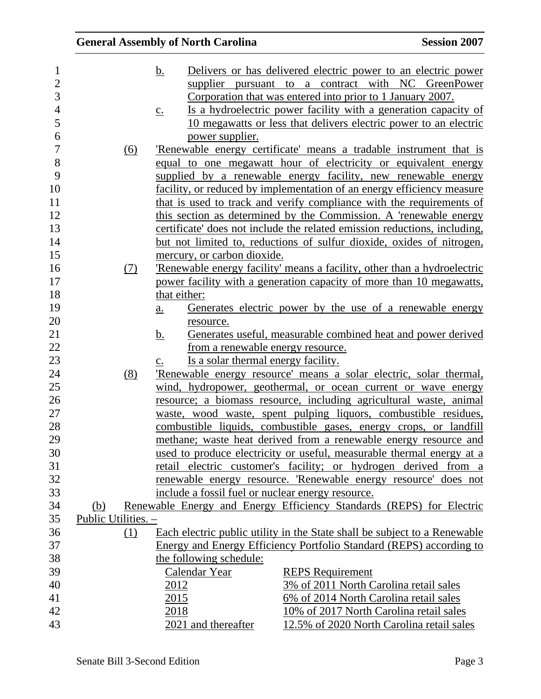| $\mathbf{1}$   |                     |     | Delivers or has delivered electric power to an electric power<br><u>b.</u>           |
|----------------|---------------------|-----|--------------------------------------------------------------------------------------|
| $\overline{2}$ |                     |     | supplier pursuant to a contract with NC GreenPower                                   |
| 3              |                     |     | Corporation that was entered into prior to 1 January 2007.                           |
| $\overline{4}$ |                     |     | Is a hydroelectric power facility with a generation capacity of<br>$\underline{c}$ . |
| 5              |                     |     | 10 megawatts or less that delivers electric power to an electric                     |
| 6              |                     |     | power supplier.                                                                      |
| $\overline{7}$ |                     | (6) | 'Renewable energy certificate' means a tradable instrument that is                   |
| 8              |                     |     | equal to one megawatt hour of electricity or equivalent energy                       |
| 9              |                     |     | supplied by a renewable energy facility, new renewable energy                        |
| 10             |                     |     | facility, or reduced by implementation of an energy efficiency measure               |
| 11             |                     |     | that is used to track and verify compliance with the requirements of                 |
| 12             |                     |     | this section as determined by the Commission. A 'renewable energy                    |
| 13             |                     |     | certificate' does not include the related emission reductions, including,            |
| 14             |                     |     | but not limited to, reductions of sulfur dioxide, oxides of nitrogen,                |
| 15             |                     |     | mercury, or carbon dioxide.                                                          |
| 16             |                     | (7) | Renewable energy facility' means a facility, other than a hydroelectric              |
| 17             |                     |     | power facility with a generation capacity of more than 10 megawatts,                 |
| 18             |                     |     | that either:                                                                         |
| 19             |                     |     | Generates electric power by the use of a renewable energy<br>$\underline{a}$ .       |
| 20             |                     |     | resource.                                                                            |
| 21             |                     |     | Generates useful, measurable combined heat and power derived<br><u>b.</u>            |
| 22             |                     |     | from a renewable energy resource.                                                    |
| 23             |                     |     | Is a solar thermal energy facility.<br>$\underline{c}$ .                             |
| 24             |                     | (8) | Renewable energy resource' means a solar electric, solar thermal,                    |
| 25             |                     |     | wind, hydropower, geothermal, or ocean current or wave energy                        |
| 26             |                     |     | resource; a biomass resource, including agricultural waste, animal                   |
| 27             |                     |     | waste, wood waste, spent pulping liquors, combustible residues,                      |
| 28             |                     |     | combustible liquids, combustible gases, energy crops, or landfill                    |
| 29             |                     |     | methane; waste heat derived from a renewable energy resource and                     |
| 30             |                     |     | used to produce electricity or useful, measurable thermal energy at a                |
| 31             |                     |     | retail electric customer's facility; or hydrogen derived from a                      |
| 32             |                     |     | renewable energy resource. 'Renewable energy resource' does not                      |
| 33             |                     |     | include a fossil fuel or nuclear energy resource.                                    |
| 34             | <u>(b)</u>          |     | Renewable Energy and Energy Efficiency Standards (REPS) for Electric                 |
| 35             | Public Utilities. - |     |                                                                                      |
| 36             |                     | (1) | Each electric public utility in the State shall be subject to a Renewable            |
| 37             |                     |     | Energy and Energy Efficiency Portfolio Standard (REPS) according to                  |
| 38             |                     |     | the following schedule:                                                              |
| 39             |                     |     | Calendar Year<br><b>REPS</b> Requirement                                             |
| 40             |                     |     | 3% of 2011 North Carolina retail sales<br>2012                                       |
| 41             |                     |     | 6% of 2014 North Carolina retail sales<br>2015                                       |
| 42             |                     |     | 10% of 2017 North Carolina retail sales<br>2018                                      |
| 43             |                     |     | 2021 and thereafter<br>12.5% of 2020 North Carolina retail sales                     |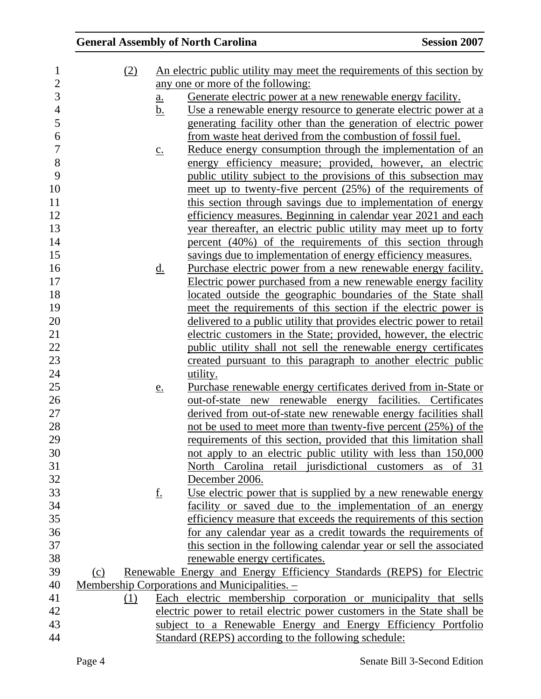| 1              | (2) |                            | An electric public utility may meet the requirements of this section by |
|----------------|-----|----------------------------|-------------------------------------------------------------------------|
| $\overline{2}$ |     |                            | any one or more of the following:                                       |
| 3              |     | $\underline{\mathbf{a}}$ . | <u>Generate electric power at a new renewable energy facility.</u>      |
| $\overline{4}$ |     | <u>b.</u>                  | Use a renewable energy resource to generate electric power at a         |
| 5              |     |                            | generating facility other than the generation of electric power         |
| 6              |     |                            | from waste heat derived from the combustion of fossil fuel.             |
| $\overline{7}$ |     | $\underline{c}$ .          | Reduce energy consumption through the implementation of an              |
| 8              |     |                            | energy efficiency measure; provided, however, an electric               |
| 9              |     |                            | public utility subject to the provisions of this subsection may         |
| 10             |     |                            | meet up to twenty-five percent $(25%)$ of the requirements of           |
| 11             |     |                            | this section through savings due to implementation of energy            |
| 12             |     |                            | efficiency measures. Beginning in calendar year 2021 and each           |
| 13             |     |                            | year thereafter, an electric public utility may meet up to forty        |
| 14             |     |                            | percent (40%) of the requirements of this section through               |
| 15             |     |                            | savings due to implementation of energy efficiency measures.            |
| 16             |     | $\underline{\mathrm{d}}$ . | Purchase electric power from a new renewable energy facility.           |
| 17             |     |                            | Electric power purchased from a new renewable energy facility           |
| 18             |     |                            | located outside the geographic boundaries of the State shall            |
| 19             |     |                            | meet the requirements of this section if the electric power is          |
| 20             |     |                            | delivered to a public utility that provides electric power to retail    |
| 21             |     |                            | electric customers in the State; provided, however, the electric        |
| 22             |     |                            | public utility shall not sell the renewable energy certificates         |
| 23             |     |                            | created pursuant to this paragraph to another electric public           |
| 24             |     |                            | utility.                                                                |
| 25             |     | <u>e.</u>                  | Purchase renewable energy certificates derived from in-State or         |
| 26             |     |                            | out-of-state new renewable energy facilities. Certificates              |
| 27             |     |                            | derived from out-of-state new renewable energy facilities shall         |
| 28             |     |                            | not be used to meet more than twenty-five percent (25%) of the          |
| 29             |     |                            | requirements of this section, provided that this limitation shall       |
| 30             |     |                            | not apply to an electric public utility with less than 150,000          |
| 31             |     |                            | North Carolina retail jurisdictional customers as of 31                 |
| 32             |     |                            | December 2006.                                                          |
| 33             |     | <u>f.</u>                  | Use electric power that is supplied by a new renewable energy           |
| 34             |     |                            | facility or saved due to the implementation of an energy                |
| 35             |     |                            | efficiency measure that exceeds the requirements of this section        |
| 36             |     |                            | for any calendar year as a credit towards the requirements of           |
| 37             |     |                            | this section in the following calendar year or sell the associated      |
| 38             |     |                            | renewable energy certificates.                                          |
| 39             | (c) |                            | Renewable Energy and Energy Efficiency Standards (REPS) for Electric    |
| 40             |     |                            | Membership Corporations and Municipalities. -                           |
| 41             | (1) |                            | Each electric membership corporation or municipality that sells         |
| 42             |     |                            | electric power to retail electric power customers in the State shall be |
| 43             |     |                            | subject to a Renewable Energy and Energy Efficiency Portfolio           |
| 44             |     |                            | Standard (REPS) according to the following schedule:                    |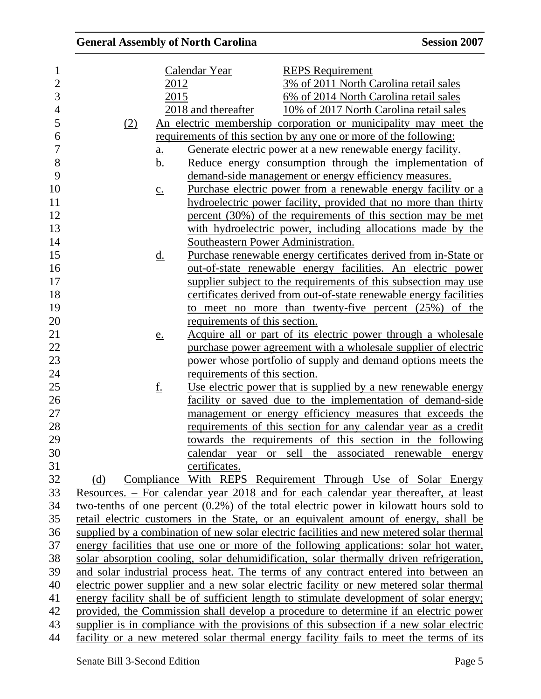| 1              |                   | Calendar Year                      | <b>REPS</b> Requirement                                                                   |
|----------------|-------------------|------------------------------------|-------------------------------------------------------------------------------------------|
| $\overline{2}$ | 2012              |                                    | 3% of 2011 North Carolina retail sales                                                    |
| 3              | 2015              |                                    | 6% of 2014 North Carolina retail sales                                                    |
| $\overline{4}$ |                   | 2018 and thereafter                | 10% of 2017 North Carolina retail sales                                                   |
| 5              | (2)               |                                    | An electric membership corporation or municipality may meet the                           |
| 6              |                   |                                    | requirements of this section by any one or more of the following:                         |
| 7              | $\underline{a}$ . |                                    | Generate electric power at a new renewable energy facility.                               |
| 8              | b.                |                                    | Reduce energy consumption through the implementation of                                   |
| 9              |                   |                                    | demand-side management or energy efficiency measures.                                     |
| 10             | $\underline{c}$ . |                                    | Purchase electric power from a renewable energy facility or a                             |
| 11             |                   |                                    | hydroelectric power facility, provided that no more than thirty                           |
| 12             |                   |                                    | percent (30%) of the requirements of this section may be met                              |
| 13             |                   |                                    | with hydroelectric power, including allocations made by the                               |
| 14             |                   | Southeastern Power Administration. |                                                                                           |
| 15             | <u>d.</u>         |                                    | Purchase renewable energy certificates derived from in-State or                           |
| 16             |                   |                                    | out-of-state renewable energy facilities. An electric power                               |
| 17             |                   |                                    | supplier subject to the requirements of this subsection may use                           |
| 18             |                   |                                    | certificates derived from out-of-state renewable energy facilities                        |
| 19             |                   |                                    | to meet no more than twenty-five percent $(25%)$ of the                                   |
| 20             |                   | requirements of this section.      |                                                                                           |
| 21             | e.                |                                    | Acquire all or part of its electric power through a wholesale                             |
| 22<br>23       |                   |                                    | purchase power agreement with a wholesale supplier of electric                            |
|                |                   |                                    | power whose portfolio of supply and demand options meets the                              |
| 24             |                   | requirements of this section.      |                                                                                           |
| 25             | <u>f.</u>         |                                    | Use electric power that is supplied by a new renewable energy                             |
| 26             |                   |                                    | facility or saved due to the implementation of demand-side                                |
|                |                   |                                    | management or energy efficiency measures that exceeds the                                 |
| 27<br>28<br>29 |                   |                                    | requirements of this section for any calendar year as a credit                            |
|                |                   |                                    | towards the requirements of this section in the following                                 |
| 30             |                   |                                    | calendar year or sell the associated renewable energy                                     |
| 31             |                   | certificates.                      |                                                                                           |
| 32             | (d)               |                                    | Compliance With REPS Requirement Through Use of Solar Energy                              |
| 33             |                   |                                    | Resources. – For calendar year 2018 and for each calendar year thereafter, at least       |
| 34             |                   |                                    | two-tenths of one percent $(0.2\%)$ of the total electric power in kilowatt hours sold to |
| 35             |                   |                                    | retail electric customers in the State, or an equivalent amount of energy, shall be       |
| 36             |                   |                                    | supplied by a combination of new solar electric facilities and new metered solar thermal  |
| 37             |                   |                                    | energy facilities that use one or more of the following applications: solar hot water,    |
| 38             |                   |                                    | solar absorption cooling, solar dehumidification, solar thermally driven refrigeration,   |
| 39             |                   |                                    | and solar industrial process heat. The terms of any contract entered into between an      |
| 40             |                   |                                    | electric power supplier and a new solar electric facility or new metered solar thermal    |
| 41             |                   |                                    | energy facility shall be of sufficient length to stimulate development of solar energy;   |
| 42             |                   |                                    | provided, the Commission shall develop a procedure to determine if an electric power      |
| 43             |                   |                                    | supplier is in compliance with the provisions of this subsection if a new solar electric  |
| 44             |                   |                                    | facility or a new metered solar thermal energy facility fails to meet the terms of its    |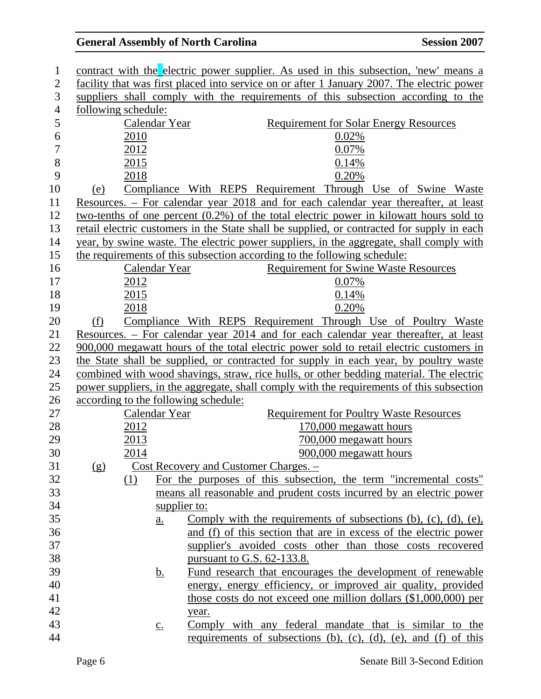| 1              |                     |      |                   | contract with the electric power supplier. As used in this subsection, 'new' means a       |
|----------------|---------------------|------|-------------------|--------------------------------------------------------------------------------------------|
| $\overline{2}$ |                     |      |                   | facility that was first placed into service on or after 1 January 2007. The electric power |
| 3              |                     |      |                   | suppliers shall comply with the requirements of this subsection according to the           |
| $\overline{4}$ | following schedule: |      |                   |                                                                                            |
| 5              |                     |      | Calendar Year     | <b>Requirement for Solar Energy Resources</b>                                              |
| 6              |                     | 2010 |                   | 0.02%                                                                                      |
| $\overline{7}$ |                     | 2012 |                   | 0.07%                                                                                      |
| $8\,$          |                     | 2015 |                   | 0.14%                                                                                      |
| 9              |                     | 2018 |                   | 0.20%                                                                                      |
| 10             | <u>(e)</u>          |      |                   | Compliance With REPS Requirement Through Use of Swine Waste                                |
| 11             |                     |      |                   | Resources. – For calendar year 2018 and for each calendar year thereafter, at least        |
| 12             |                     |      |                   | two-tenths of one percent $(0.2\%)$ of the total electric power in kilowatt hours sold to  |
| 13             |                     |      |                   | retail electric customers in the State shall be supplied, or contracted for supply in each |
| 14             |                     |      |                   | year, by swine waste. The electric power suppliers, in the aggregate, shall comply with    |
| 15             |                     |      |                   | the requirements of this subsection according to the following schedule:                   |
| 16             |                     |      | Calendar Year     | <b>Requirement for Swine Waste Resources</b>                                               |
| 17             |                     | 2012 |                   | 0.07%                                                                                      |
| 18             |                     | 2015 |                   | 0.14%                                                                                      |
| 19             |                     | 2018 |                   | 0.20%                                                                                      |
| 20             | (f)                 |      |                   | Compliance With REPS Requirement Through Use of Poultry Waste                              |
| 21             |                     |      |                   | Resources. – For calendar year 2014 and for each calendar year thereafter, at least        |
| 22             |                     |      |                   | 900,000 megawatt hours of the total electric power sold to retail electric customers in    |
| 23             |                     |      |                   | the State shall be supplied, or contracted for supply in each year, by poultry waste       |
| 24             |                     |      |                   | combined with wood shavings, straw, rice hulls, or other bedding material. The electric    |
| 25             |                     |      |                   | power suppliers, in the aggregate, shall comply with the requirements of this subsection   |
| 26             |                     |      |                   | according to the following schedule:                                                       |
| 27             |                     |      | Calendar Year     | <b>Requirement for Poultry Waste Resources</b>                                             |
| 28             |                     | 2012 |                   | 170,000 megawatt hours                                                                     |
| 29             |                     | 2013 |                   | 700,000 megawatt hours                                                                     |
| 30             |                     | 2014 |                   | 900,000 megawatt hours                                                                     |
| 31             | (g)                 |      |                   | Cost Recovery and Customer Charges. -                                                      |
| 32             |                     | (1)  |                   | For the purposes of this subsection, the term "incremental costs"                          |
| 33             |                     |      |                   | means all reasonable and prudent costs incurred by an electric power                       |
| 34             |                     |      | supplier to:      |                                                                                            |
| 35             |                     |      | $\underline{a}$ . | Comply with the requirements of subsections $(b)$ , $(c)$ , $(d)$ , $(e)$ ,                |
| 36             |                     |      |                   | and (f) of this section that are in excess of the electric power                           |
| 37             |                     |      |                   | supplier's avoided costs other than those costs recovered                                  |
| 38             |                     |      |                   | pursuant to G.S. $62-133.8$ .                                                              |
| 39             |                     |      | <u>b.</u>         | Fund research that encourages the development of renewable                                 |
| 40             |                     |      |                   | energy, energy efficiency, or improved air quality, provided                               |
| 41             |                     |      |                   | those costs do not exceed one million dollars (\$1,000,000) per                            |
| 42             |                     |      |                   | year.                                                                                      |
| 43             |                     |      | $\underline{c}$ . | Comply with any federal mandate that is similar to the                                     |
| 44             |                     |      |                   | requirements of subsections (b), (c), (d), (e), and (f) of this                            |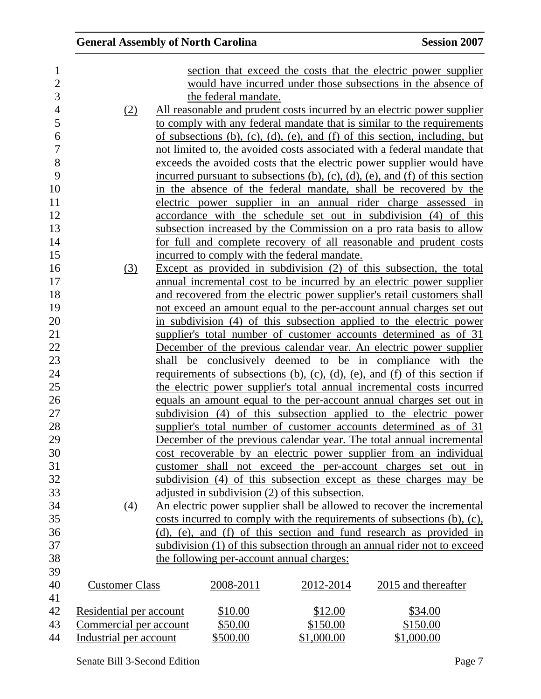|  | <b>General Assembly of North Carolina</b> |  |
|--|-------------------------------------------|--|
|--|-------------------------------------------|--|

| 1                |                         |                      |                                                 | section that exceed the costs that the electric power supplier               |
|------------------|-------------------------|----------------------|-------------------------------------------------|------------------------------------------------------------------------------|
| $\overline{2}$   |                         |                      |                                                 | would have incurred under those subsections in the absence of                |
| 3                |                         | the federal mandate. |                                                 |                                                                              |
| $\overline{4}$   | (2)                     |                      |                                                 | All reasonable and prudent costs incurred by an electric power supplier      |
| 5                |                         |                      |                                                 | to comply with any federal mandate that is similar to the requirements       |
| $\boldsymbol{6}$ |                         |                      |                                                 | of subsections (b), (c), (d), (e), and (f) of this section, including, but   |
| $\overline{7}$   |                         |                      |                                                 | not limited to, the avoided costs associated with a federal mandate that     |
| 8                |                         |                      |                                                 | exceeds the avoided costs that the electric power supplier would have        |
| 9                |                         |                      |                                                 | incurred pursuant to subsections (b), (c), (d), (e), and (f) of this section |
| 10               |                         |                      |                                                 | in the absence of the federal mandate, shall be recovered by the             |
| 11               |                         |                      |                                                 | electric power supplier in an annual rider charge assessed in                |
| 12               |                         |                      |                                                 | accordance with the schedule set out in subdivision (4) of this              |
| 13               |                         |                      |                                                 | subsection increased by the Commission on a pro rata basis to allow          |
| 14               |                         |                      |                                                 | for full and complete recovery of all reasonable and prudent costs           |
| 15               |                         |                      | incurred to comply with the federal mandate.    |                                                                              |
| 16               | (3)                     |                      |                                                 | Except as provided in subdivision $(2)$ of this subsection, the total        |
| 17               |                         |                      |                                                 | annual incremental cost to be incurred by an electric power supplier         |
| 18               |                         |                      |                                                 | and recovered from the electric power supplier's retail customers shall      |
| 19               |                         |                      |                                                 | not exceed an amount equal to the per-account annual charges set out         |
| 20               |                         |                      |                                                 | in subdivision (4) of this subsection applied to the electric power          |
| 21               |                         |                      |                                                 | supplier's total number of customer accounts determined as of 31             |
| 22               |                         |                      |                                                 | December of the previous calendar year. An electric power supplier           |
| 23               |                         |                      |                                                 | shall be conclusively deemed to be in compliance with the                    |
| 24               |                         |                      |                                                 | requirements of subsections (b), (c), (d), (e), and (f) of this section if   |
| 25               |                         |                      |                                                 | the electric power supplier's total annual incremental costs incurred        |
| 26               |                         |                      |                                                 | equals an amount equal to the per-account annual charges set out in          |
| 27               |                         |                      |                                                 | subdivision (4) of this subsection applied to the electric power             |
| 28               |                         |                      |                                                 | supplier's total number of customer accounts determined as of 31             |
| 29               |                         |                      |                                                 | December of the previous calendar year. The total annual incremental         |
| 30               |                         |                      |                                                 | cost recoverable by an electric power supplier from an individual            |
| 31               |                         |                      |                                                 | customer shall not exceed the per-account charges set out in                 |
| 32               |                         |                      |                                                 | subdivision (4) of this subsection except as these charges may be            |
| 33               |                         |                      | adjusted in subdivision (2) of this subsection. |                                                                              |
| 34               | (4)                     |                      |                                                 | An electric power supplier shall be allowed to recover the incremental       |
| 35               |                         |                      |                                                 | costs incurred to comply with the requirements of subsections (b), (c),      |
| 36               |                         |                      |                                                 | (d), (e), and (f) of this section and fund research as provided in           |
| 37               |                         |                      |                                                 | subdivision (1) of this subsection through an annual rider not to exceed     |
| 38               |                         |                      | the following per-account annual charges:       |                                                                              |
| 39               |                         |                      |                                                 |                                                                              |
| 40               | <b>Customer Class</b>   | 2008-2011            | 2012-2014                                       | 2015 and thereafter                                                          |
| 41               |                         |                      |                                                 |                                                                              |
| 42               | Residential per account | \$10.00              | \$12.00                                         | \$34.00                                                                      |
| 43               | Commercial per account  | \$50.00              | \$150.00                                        | \$150.00                                                                     |
| 44               | Industrial per account  | \$500.00             | \$1,000.00                                      | \$1,000.00                                                                   |
|                  |                         |                      |                                                 |                                                                              |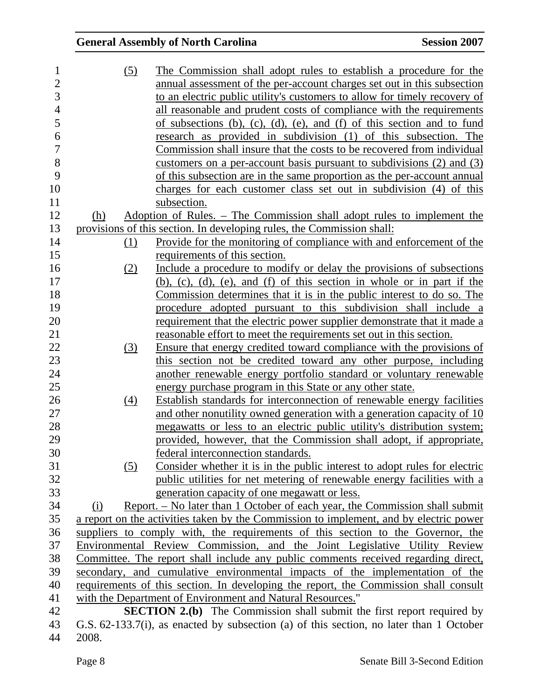| 1                        | (5)              | The Commission shall adopt rules to establish a procedure for the                       |
|--------------------------|------------------|-----------------------------------------------------------------------------------------|
| $\overline{c}$           |                  | annual assessment of the per-account charges set out in this subsection                 |
| 3                        |                  | to an electric public utility's customers to allow for timely recovery of               |
| $\overline{\mathcal{A}}$ |                  | all reasonable and prudent costs of compliance with the requirements                    |
| 5                        |                  |                                                                                         |
| 6                        |                  | of subsections (b), (c), (d), (e), and (f) of this section and to fund                  |
|                          |                  | research as provided in subdivision (1) of this subsection. The                         |
| 7                        |                  | Commission shall insure that the costs to be recovered from individual                  |
| 8                        |                  | customers on a per-account basis pursuant to subdivisions (2) and (3)                   |
| 9                        |                  | of this subsection are in the same proportion as the per-account annual                 |
| 10                       |                  | charges for each customer class set out in subdivision (4) of this                      |
| 11                       |                  | subsection.                                                                             |
| 12                       | (h)              | Adoption of Rules. – The Commission shall adopt rules to implement the                  |
| 13                       |                  | provisions of this section. In developing rules, the Commission shall:                  |
| 14                       | (1)              | Provide for the monitoring of compliance with and enforcement of the                    |
| 15                       |                  | requirements of this section.                                                           |
| 16                       | (2)              | Include a procedure to modify or delay the provisions of subsections                    |
| 17                       |                  | (b), (c), (d), (e), and (f) of this section in whole or in part if the                  |
| 18                       |                  | <u>Commission determines that it is in the public interest to do so. The</u>            |
| 19                       |                  | procedure adopted pursuant to this subdivision shall include a                          |
| 20                       |                  | requirement that the electric power supplier demonstrate that it made a                 |
| 21                       |                  | reasonable effort to meet the requirements set out in this section.                     |
| 22                       | $\left(3\right)$ | Ensure that energy credited toward compliance with the provisions of                    |
| 23                       |                  | this section not be credited toward any other purpose, including                        |
| 24                       |                  | another renewable energy portfolio standard or voluntary renewable                      |
| 25                       |                  | energy purchase program in this State or any other state.                               |
| 26                       | (4)              | Establish standards for interconnection of renewable energy facilities                  |
| 27                       |                  | and other nonutility owned generation with a generation capacity of 10                  |
| 28                       |                  | megawatts or less to an electric public utility's distribution system;                  |
| 29                       |                  | provided, however, that the Commission shall adopt, if appropriate,                     |
| 30                       |                  | federal interconnection standards.                                                      |
| 31                       | (5)              | Consider whether it is in the public interest to adopt rules for electric               |
| 32                       |                  | public utilities for net metering of renewable energy facilities with a                 |
| 33                       |                  |                                                                                         |
| 34                       |                  | generation capacity of one megawatt or less.                                            |
|                          | (i)              | <u>Report. – No later than 1 October of each year, the Commission shall submit</u>      |
| 35                       |                  | a report on the activities taken by the Commission to implement, and by electric power  |
| 36                       |                  | suppliers to comply with, the requirements of this section to the Governor, the         |
| 37                       |                  | Environmental Review Commission, and the Joint Legislative Utility Review               |
| 38                       |                  | Committee. The report shall include any public comments received regarding direct,      |
| 39                       |                  | secondary, and cumulative environmental impacts of the implementation of the            |
| 40                       |                  | requirements of this section. In developing the report, the Commission shall consult    |
| 41                       |                  | with the Department of Environment and Natural Resources."                              |
| 42                       |                  | <b>SECTION 2.(b)</b> The Commission shall submit the first report required by           |
| 43                       |                  | G.S. 62-133.7(i), as enacted by subsection (a) of this section, no later than 1 October |
| 44                       | 2008.            |                                                                                         |

2008.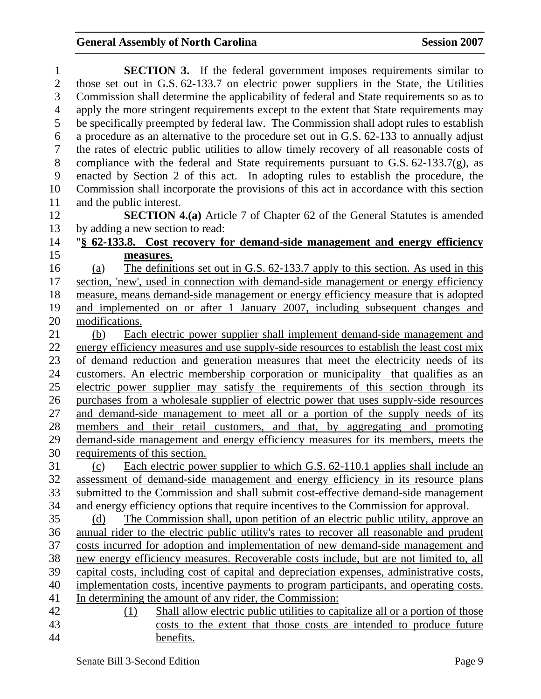| 1              | <b>SECTION 3.</b> If the federal government imposes requirements similar to                |
|----------------|--------------------------------------------------------------------------------------------|
| $\overline{2}$ | those set out in G.S. 62-133.7 on electric power suppliers in the State, the Utilities     |
| 3              | Commission shall determine the applicability of federal and State requirements so as to    |
| $\overline{4}$ | apply the more stringent requirements except to the extent that State requirements may     |
| 5              | be specifically preempted by federal law. The Commission shall adopt rules to establish    |
| 6              | a procedure as an alternative to the procedure set out in G.S. 62-133 to annually adjust   |
| 7              | the rates of electric public utilities to allow timely recovery of all reasonable costs of |
| 8              | compliance with the federal and State requirements pursuant to G.S. 62-133.7(g), as        |
| 9              | enacted by Section 2 of this act. In adopting rules to establish the procedure, the        |
| 10             | Commission shall incorporate the provisions of this act in accordance with this section    |
| 11             | and the public interest.                                                                   |
| 12             | <b>SECTION 4.(a)</b> Article 7 of Chapter 62 of the General Statutes is amended            |
| 13             | by adding a new section to read:                                                           |
| 14             | "§ 62-133.8. Cost recovery for demand-side management and energy efficiency                |
| 15             | measures.                                                                                  |
| 16             | The definitions set out in G.S. 62-133.7 apply to this section. As used in this<br>(a)     |
| 17             | section, 'new', used in connection with demand-side management or energy efficiency        |
| 18             | measure, means demand-side management or energy efficiency measure that is adopted         |
| 19             | and implemented on or after 1 January 2007, including subsequent changes and               |
| 20             | modifications.                                                                             |
| 21             | Each electric power supplier shall implement demand-side management and<br>(b)             |
| 22             | energy efficiency measures and use supply-side resources to establish the least cost mix   |
| 23             | of demand reduction and generation measures that meet the electricity needs of its         |
| 24             | customers. An electric membership corporation or municipality that qualifies as an         |
| 25             | electric power supplier may satisfy the requirements of this section through its           |
| 26             | purchases from a wholesale supplier of electric power that uses supply-side resources      |
| 27             | and demand-side management to meet all or a portion of the supply needs of its             |
| 28             | members and their retail customers, and that, by aggregating and promoting                 |
| 29             | demand-side management and energy efficiency measures for its members, meets the           |
| 30             | requirements of this section.                                                              |
| 31             | Each electric power supplier to which G.S. 62-110.1 applies shall include an<br>(c)        |
| 32             | assessment of demand-side management and energy efficiency in its resource plans           |
| 33             | submitted to the Commission and shall submit cost-effective demand-side management         |
| 34             | and energy efficiency options that require incentives to the Commission for approval.      |
| 35             | The Commission shall, upon petition of an electric public utility, approve an<br>(d)       |
| 36             | annual rider to the electric public utility's rates to recover all reasonable and prudent  |
| 37             | costs incurred for adoption and implementation of new demand-side management and           |
| 38             | new energy efficiency measures. Recoverable costs include, but are not limited to, all     |
| 39             | capital costs, including cost of capital and depreciation expenses, administrative costs,  |
| 40             | implementation costs, incentive payments to program participants, and operating costs.     |
| 41             | In determining the amount of any rider, the Commission:                                    |
| 42             | Shall allow electric public utilities to capitalize all or a portion of those<br>(1)       |
| 43             | costs to the extent that those costs are intended to produce future                        |
| 44             | benefits.                                                                                  |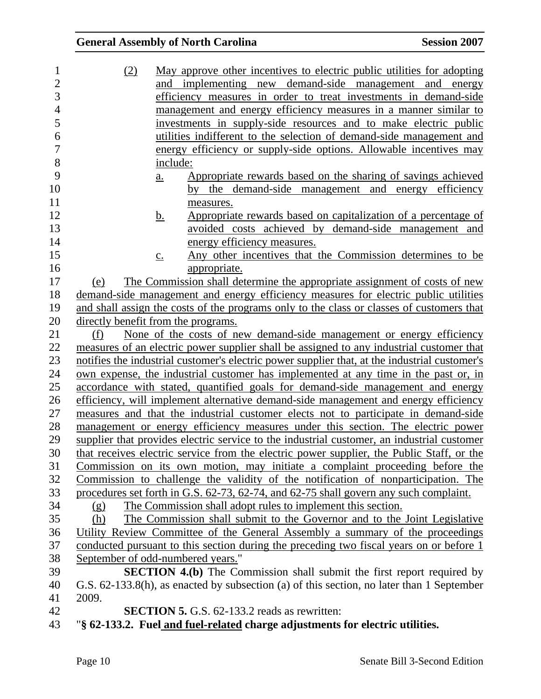| 1              | (2)                            | May approve other incentives to electric public utilities for adopting                        |
|----------------|--------------------------------|-----------------------------------------------------------------------------------------------|
| $\overline{2}$ |                                | and implementing new demand-side management and energy                                        |
| 3              |                                | efficiency measures in order to treat investments in demand-side                              |
| $\overline{4}$ |                                | management and energy efficiency measures in a manner similar to                              |
| 5              |                                | investments in supply-side resources and to make electric public                              |
| 6              |                                | utilities indifferent to the selection of demand-side management and                          |
| $\overline{7}$ |                                | energy efficiency or supply-side options. Allowable incentives may                            |
| 8              |                                | include:                                                                                      |
| 9              |                                | Appropriate rewards based on the sharing of savings achieved<br>$\underline{a}$ .             |
| 10             |                                | the demand-side management and energy efficiency<br>by                                        |
| 11             |                                | measures.                                                                                     |
| 12             |                                | Appropriate rewards based on capitalization of a percentage of<br><u>b.</u>                   |
| 13             |                                | avoided costs achieved by demand-side management and                                          |
| 14             |                                | energy efficiency measures.                                                                   |
| 15             |                                | Any other incentives that the Commission determines to be<br>$\underline{c}$ .                |
| 16             |                                | appropriate.                                                                                  |
| 17             | (e)                            | The Commission shall determine the appropriate assignment of costs of new                     |
| 18             |                                | demand-side management and energy efficiency measures for electric public utilities           |
| 19             |                                | and shall assign the costs of the programs only to the class or classes of customers that     |
| 20             |                                | directly benefit from the programs.                                                           |
| 21             | (f)                            | None of the costs of new demand-side management or energy efficiency                          |
| 22             |                                | measures of an electric power supplier shall be assigned to any industrial customer that      |
| 23             |                                | notifies the industrial customer's electric power supplier that, at the industrial customer's |
| 24             |                                | own expense, the industrial customer has implemented at any time in the past or, in           |
| 25             |                                | accordance with stated, quantified goals for demand-side management and energy                |
| 26             |                                | efficiency, will implement alternative demand-side management and energy efficiency           |
| 27             |                                | measures and that the industrial customer elects not to participate in demand-side            |
| 28             |                                | management or energy efficiency measures under this section. The electric power               |
| 29             |                                | supplier that provides electric service to the industrial customer, an industrial customer    |
| 30             |                                | that receives electric service from the electric power supplier, the Public Staff, or the     |
| 31             |                                | Commission on its own motion, may initiate a complaint proceeding before the                  |
| 32             |                                | Commission to challenge the validity of the notification of nonparticipation. The             |
| 33             |                                | procedures set forth in G.S. 62-73, 62-74, and 62-75 shall govern any such complaint.         |
| 34             | $\left( \underline{g} \right)$ | The Commission shall adopt rules to implement this section.                                   |
| 35             | (h)                            | The Commission shall submit to the Governor and to the Joint Legislative                      |
| 36             |                                | Utility Review Committee of the General Assembly a summary of the proceedings                 |
| 37             |                                | conducted pursuant to this section during the preceding two fiscal years on or before 1       |
| 38             |                                | September of odd-numbered years."                                                             |
| 39             |                                | <b>SECTION 4.(b)</b> The Commission shall submit the first report required by                 |
| 40             |                                | G.S. 62-133.8(h), as enacted by subsection (a) of this section, no later than 1 September     |
| 41             | 2009.                          |                                                                                               |
| 42             |                                | <b>SECTION 5.</b> G.S. 62-133.2 reads as rewritten:                                           |
| 43             |                                | "§ 62-133.2. Fuel and fuel-related charge adjustments for electric utilities.                 |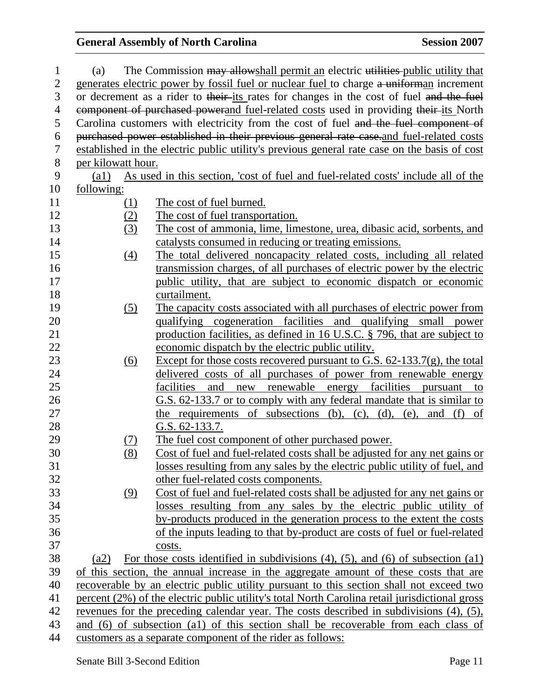| 1              | (a)                |                   | The Commission may allow shall permit an electric utilities public utility that                |
|----------------|--------------------|-------------------|------------------------------------------------------------------------------------------------|
| $\overline{2}$ |                    |                   | generates electric power by fossil fuel or nuclear fuel to charge a uniforman increment        |
| 3              |                    |                   | or decrement as a rider to their-its rates for changes in the cost of fuel and the fuel        |
| $\overline{4}$ |                    |                   | component of purchased powerand fuel-related costs used in providing their-its North           |
| 5              |                    |                   | Carolina customers with electricity from the cost of fuel and the fuel component of            |
| 6              |                    |                   | purchased power established in their previous general rate case.and fuel-related costs         |
| $\overline{7}$ |                    |                   | established in the electric public utility's previous general rate case on the basis of cost   |
| $8\,$          | per kilowatt hour. |                   |                                                                                                |
| 9              | $\left( a1\right)$ |                   | As used in this section, 'cost of fuel and fuel-related costs' include all of the              |
| 10             | following:         |                   |                                                                                                |
| 11             |                    | (1)               | The cost of fuel burned.                                                                       |
| 12             |                    | (2)               | The cost of fuel transportation.                                                               |
| 13             |                    | (3)               | The cost of ammonia, lime, limestone, urea, dibasic acid, sorbents, and                        |
| 14             |                    |                   | catalysts consumed in reducing or treating emissions.                                          |
| 15             |                    | $\underline{(4)}$ | The total delivered noncapacity related costs, including all related                           |
| 16             |                    |                   | transmission charges, of all purchases of electric power by the electric                       |
| 17             |                    |                   | public utility, that are subject to economic dispatch or economic                              |
| 18             |                    |                   | curtailment.                                                                                   |
| 19             |                    | (5)               | The capacity costs associated with all purchases of electric power from                        |
| 20             |                    |                   | qualifying cogeneration facilities and qualifying small power                                  |
| 21             |                    |                   | production facilities, as defined in 16 U.S.C. § 796, that are subject to                      |
| 22             |                    |                   | economic dispatch by the electric public utility.                                              |
| 23             |                    | (6)               | Except for those costs recovered pursuant to G.S. $62-133.7(g)$ , the total                    |
| 24             |                    |                   | delivered costs of all purchases of power from renewable energy                                |
| 25             |                    |                   | new renewable energy facilities<br>facilities<br>and<br>pursuant<br>to                         |
| 26             |                    |                   | G.S. 62-133.7 or to comply with any federal mandate that is similar to                         |
| 27             |                    |                   | the requirements of subsections $(b)$ , $(c)$ , $(d)$ , $(e)$ ,<br>and<br>$(f)$ of             |
| 28             |                    |                   | G.S. 62-133.7.                                                                                 |
| 29             |                    | (7)               | The fuel cost component of other purchased power.                                              |
| 30             |                    | (8)               | Cost of fuel and fuel-related costs shall be adjusted for any net gains or                     |
| 31             |                    |                   | losses resulting from any sales by the electric public utility of fuel, and                    |
| 32             |                    |                   | other fuel-related costs components.                                                           |
| 33             |                    | (9)               | Cost of fuel and fuel-related costs shall be adjusted for any net gains or                     |
| 34             |                    |                   | losses resulting from any sales by the electric public utility of                              |
| 35             |                    |                   | by-products produced in the generation process to the extent the costs                         |
| 36             |                    |                   | of the inputs leading to that by-product are costs of fuel or fuel-related                     |
| 37             |                    |                   | costs.                                                                                         |
| 38             | (a2)               |                   | For those costs identified in subdivisions $(4)$ , $(5)$ , and $(6)$ of subsection $(a1)$      |
| 39             |                    |                   | of this section, the annual increase in the aggregate amount of these costs that are           |
| 40             |                    |                   | recoverable by an electric public utility pursuant to this section shall not exceed two        |
| 41             |                    |                   | percent (2%) of the electric public utility's total North Carolina retail jurisdictional gross |
| 42             |                    |                   | revenues for the preceding calendar year. The costs described in subdivisions (4), (5),        |
| 43             |                    |                   | and (6) of subsection (a1) of this section shall be recoverable from each class of             |
| 44             |                    |                   | customers as a separate component of the rider as follows:                                     |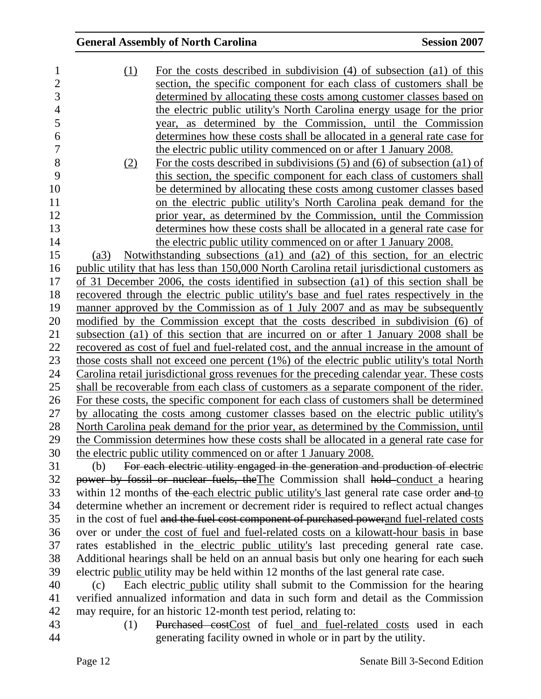| 1              | (1)  | For the costs described in subdivision $(4)$ of subsection $(4)$ of this                    |
|----------------|------|---------------------------------------------------------------------------------------------|
| $\overline{c}$ |      | section, the specific component for each class of customers shall be                        |
| 3              |      | determined by allocating these costs among customer classes based on                        |
| $\overline{4}$ |      | the electric public utility's North Carolina energy usage for the prior                     |
| 5              |      | year, as determined by the Commission, until the Commission                                 |
| 6              |      | determines how these costs shall be allocated in a general rate case for                    |
| 7              |      | the electric public utility commenced on or after 1 January 2008.                           |
| 8              | (2)  | For the costs described in subdivisions $(5)$ and $(6)$ of subsection $(a1)$ of             |
| 9              |      | this section, the specific component for each class of customers shall                      |
| 10             |      | be determined by allocating these costs among customer classes based                        |
| 11             |      | on the electric public utility's North Carolina peak demand for the                         |
| 12             |      | prior year, as determined by the Commission, until the Commission                           |
| 13             |      | determines how these costs shall be allocated in a general rate case for                    |
| 14             |      | the electric public utility commenced on or after 1 January 2008.                           |
| 15             | (a3) | Notwithstanding subsections (a1) and (a2) of this section, for an electric                  |
| 16             |      | public utility that has less than 150,000 North Carolina retail jurisdictional customers as |
| 17             |      | of 31 December 2006, the costs identified in subsection (a1) of this section shall be       |
| 18             |      | recovered through the electric public utility's base and fuel rates respectively in the     |
| 19             |      | manner approved by the Commission as of 1 July 2007 and as may be subsequently              |
| 20             |      | modified by the Commission except that the costs described in subdivision (6) of            |
| 21             |      | subsection (a1) of this section that are incurred on or after 1 January 2008 shall be       |
| 22             |      | recovered as cost of fuel and fuel-related cost, and the annual increase in the amount of   |
| 23             |      | those costs shall not exceed one percent (1%) of the electric public utility's total North  |
| 24             |      | Carolina retail jurisdictional gross revenues for the preceding calendar year. These costs  |
| 25             |      | shall be recoverable from each class of customers as a separate component of the rider.     |
| 26             |      | For these costs, the specific component for each class of customers shall be determined     |
| 27             |      | by allocating the costs among customer classes based on the electric public utility's       |
| 28             |      | North Carolina peak demand for the prior year, as determined by the Commission, until       |
| 29             |      | the Commission determines how these costs shall be allocated in a general rate case for     |
| 30             |      | the electric public utility commenced on or after 1 January 2008.                           |
| 31             | (b)  | For each electric utility engaged in the generation and production of electric              |
| 32             |      | power by fossil or nuclear fuels, the The Commission shall hold conduct a hearing           |
| 33             |      | within 12 months of the each electric public utility's last general rate case order and to  |
| 34             |      | determine whether an increment or decrement rider is required to reflect actual changes     |
| 35             |      | in the cost of fuel and the fuel cost component of purchased powerand fuel-related costs    |
| 36             |      | over or under the cost of fuel and fuel-related costs on a kilowatt-hour basis in base      |
| 37             |      | rates established in the electric public utility's last preceding general rate case.        |
| 38             |      | Additional hearings shall be held on an annual basis but only one hearing for each such     |
| 39             |      | electric public utility may be held within 12 months of the last general rate case.         |
| 40             | (c)  | Each electric <i>public</i> utility shall submit to the Commission for the hearing          |
| 41             |      | verified annualized information and data in such form and detail as the Commission          |
| 42             |      | may require, for an historic 12-month test period, relating to:                             |

- 
- 43 (1) Purchased costCost of fuel and fuel-related costs used in each generating facility owned in whole or in part by the utility. generating facility owned in whole or in part by the utility.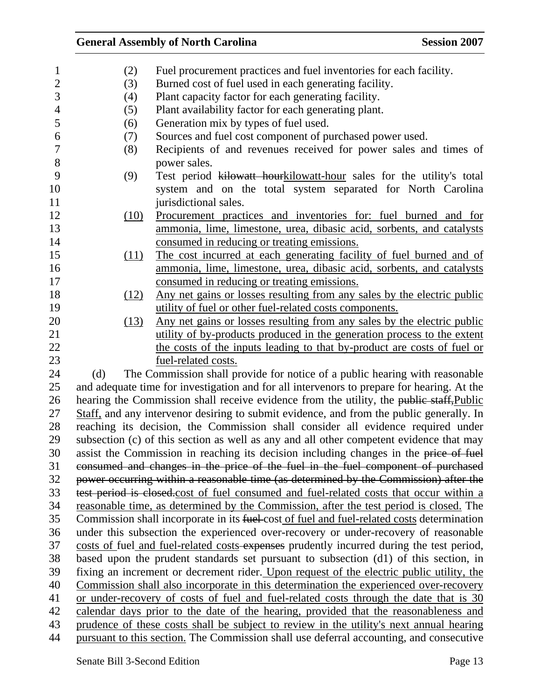| $\mathbf{1}$   | (2)  | Fuel procurement practices and fuel inventories for each facility.                           |
|----------------|------|----------------------------------------------------------------------------------------------|
| $\overline{c}$ | (3)  | Burned cost of fuel used in each generating facility.                                        |
| 3              | (4)  | Plant capacity factor for each generating facility.                                          |
| $\overline{4}$ | (5)  | Plant availability factor for each generating plant.                                         |
| 5              | (6)  | Generation mix by types of fuel used.                                                        |
| 6              | (7)  | Sources and fuel cost component of purchased power used.                                     |
| $\tau$         | (8)  | Recipients of and revenues received for power sales and times of                             |
| 8              |      | power sales.                                                                                 |
| 9              | (9)  | Test period kilowatt hourkilowatt-hour sales for the utility's total                         |
| 10             |      | system and on the total system separated for North Carolina                                  |
| 11             |      | jurisdictional sales.                                                                        |
| 12             | (10) | Procurement practices and inventories for: fuel burned and for                               |
| 13             |      | ammonia, lime, limestone, urea, dibasic acid, sorbents, and catalysts                        |
| 14             |      | consumed in reducing or treating emissions.                                                  |
| 15             | (11) | The cost incurred at each generating facility of fuel burned and of                          |
| 16             |      | ammonia, lime, limestone, urea, dibasic acid, sorbents, and catalysts                        |
| 17             |      | consumed in reducing or treating emissions.                                                  |
| 18             | (12) | Any net gains or losses resulting from any sales by the electric public                      |
| 19             |      | utility of fuel or other fuel-related costs components.                                      |
| 20             | (13) | Any net gains or losses resulting from any sales by the electric public                      |
| 21             |      | utility of by-products produced in the generation process to the extent                      |
| 22             |      | the costs of the inputs leading to that by-product are costs of fuel or                      |
| 23             |      | fuel-related costs.                                                                          |
| 24             | (d)  | The Commission shall provide for notice of a public hearing with reasonable                  |
| 25             |      | and adequate time for investigation and for all intervenors to prepare for hearing. At the   |
| 26             |      | hearing the Commission shall receive evidence from the utility, the public staff, Public     |
| 27             |      | Staff, and any intervenor desiring to submit evidence, and from the public generally. In     |
| 28             |      | reaching its decision, the Commission shall consider all evidence required under             |
| 29             |      | subsection (c) of this section as well as any and all other competent evidence that may      |
| 30             |      | assist the Commission in reaching its decision including changes in the price of fuel        |
| 31             |      | consumed and changes in the price of the fuel in the fuel component of purchased             |
| 32             |      | power occurring within a reasonable time (as determined by the Commission) after the         |
| 33             |      | test period is closed.cost of fuel consumed and fuel-related costs that occur within a       |
| 34             |      | reasonable time, as determined by the Commission, after the test period is closed. The       |
| 35             |      | Commission shall incorporate in its fuel-cost of fuel and fuel-related costs determination   |
| 36             |      | under this subsection the experienced over-recovery or under-recovery of reasonable          |
| 37             |      | costs of fuel and fuel-related costs-expenses prudently incurred during the test period,     |
| 38             |      | based upon the prudent standards set pursuant to subsection (d1) of this section, in         |
| 39             |      | fixing an increment or decrement rider. Upon request of the electric public utility, the     |
| 40             |      | <u>Commission shall also incorporate in this determination the experienced over-recovery</u> |
| 41             |      | or under-recovery of costs of fuel and fuel-related costs through the date that is 30        |
| 42             |      | calendar days prior to the date of the hearing, provided that the reasonableness and         |
| 43             |      | prudence of these costs shall be subject to review in the utility's next annual hearing      |
| 44             |      | pursuant to this section. The Commission shall use deferral accounting, and consecutive      |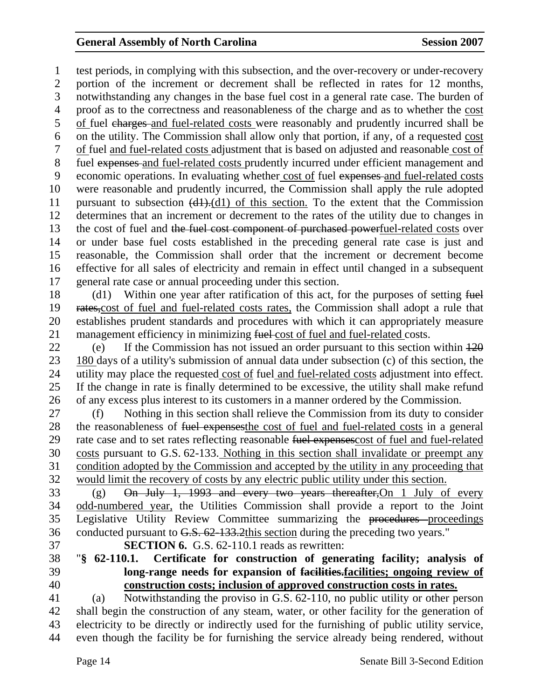1 test periods, in complying with this subsection, and the over-recovery or under-recovery 2 portion of the increment or decrement shall be reflected in rates for 12 months, 3 notwithstanding any changes in the base fuel cost in a general rate case. The burden of 4 proof as to the correctness and reasonableness of the charge and as to whether the cost 5 of fuel charges and fuel-related costs were reasonably and prudently incurred shall be 6 on the utility. The Commission shall allow only that portion, if any, of a requested cost 7 of fuel and fuel-related costs adjustment that is based on adjusted and reasonable cost of 8 fuel expenses and fuel-related costs prudently incurred under efficient management and 9 economic operations. In evaluating whether cost of fuel expenses and fuel-related costs 10 were reasonable and prudently incurred, the Commission shall apply the rule adopted 11 pursuant to subsection (d1).(d1) of this section. To the extent that the Commission 12 determines that an increment or decrement to the rates of the utility due to changes in 13 the cost of fuel and the fuel cost component of purchased powerfuel-related costs over 14 or under base fuel costs established in the preceding general rate case is just and 15 reasonable, the Commission shall order that the increment or decrement become 16 effective for all sales of electricity and remain in effect until changed in a subsequent 17 general rate case or annual proceeding under this section.

18 (d1) Within one year after ratification of this act, for the purposes of setting fuel 19 rates,cost of fuel and fuel-related costs rates, the Commission shall adopt a rule that 20 establishes prudent standards and procedures with which it can appropriately measure 21 management efficiency in minimizing fuel-cost of fuel and fuel-related costs.

22 (e) If the Commission has not issued an order pursuant to this section within  $\frac{120}{2}$ 23 180 days of a utility's submission of annual data under subsection (c) of this section, the 24 utility may place the requested cost of fuel and fuel-related costs adjustment into effect. 25 If the change in rate is finally determined to be excessive, the utility shall make refund 26 of any excess plus interest to its customers in a manner ordered by the Commission.

27 (f) Nothing in this section shall relieve the Commission from its duty to consider 28 the reasonableness of fuel expenses the cost of fuel and fuel-related costs in a general 29 rate case and to set rates reflecting reasonable fuel expenses cost of fuel and fuel-related 30 costs pursuant to G.S. 62-133. Nothing in this section shall invalidate or preempt any 31 condition adopted by the Commission and accepted by the utility in any proceeding that 32 would limit the recovery of costs by any electric public utility under this section.

33 (g) On July 1, 1993 and every two years thereafter,On 1 July of every 34 odd-numbered year, the Utilities Commission shall provide a report to the Joint 35 Legislative Utility Review Committee summarizing the procedures proceedings 36 conducted pursuant to G.S. 62-133.2this section during the preceding two years."

37 **SECTION 6.** G.S. 62-110.1 reads as rewritten:

### 38 "**§ 62-110.1. Certificate for construction of generating facility; analysis of**  39 **long-range needs for expansion of facilities.facilities; ongoing review of**  40 **construction costs; inclusion of approved construction costs in rates.**

41 (a) Notwithstanding the proviso in G.S. 62-110, no public utility or other person 42 shall begin the construction of any steam, water, or other facility for the generation of 43 electricity to be directly or indirectly used for the furnishing of public utility service, 44 even though the facility be for furnishing the service already being rendered, without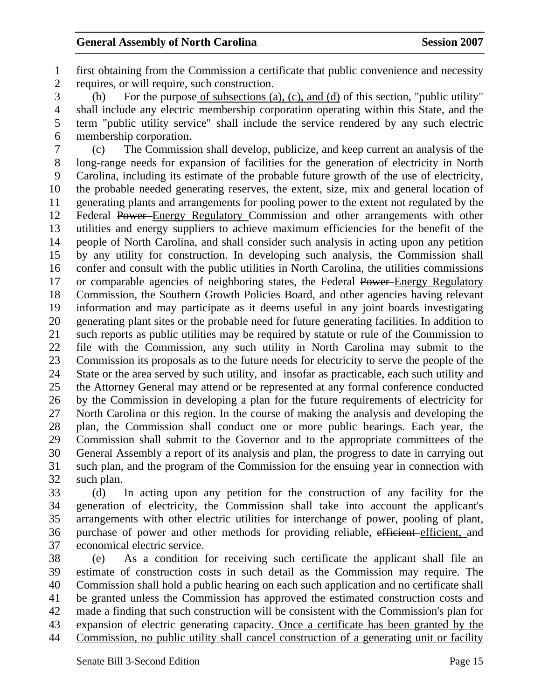1 first obtaining from the Commission a certificate that public convenience and necessity 2 requires, or will require, such construction.

3 (b) For the purpose of subsections (a), (c), and (d) of this section, "public utility" 4 shall include any electric membership corporation operating within this State, and the 5 term "public utility service" shall include the service rendered by any such electric 6 membership corporation.

7 (c) The Commission shall develop, publicize, and keep current an analysis of the 8 long-range needs for expansion of facilities for the generation of electricity in North 9 Carolina, including its estimate of the probable future growth of the use of electricity, 10 the probable needed generating reserves, the extent, size, mix and general location of 11 generating plants and arrangements for pooling power to the extent not regulated by the 12 Federal Power Energy Regulatory Commission and other arrangements with other 13 utilities and energy suppliers to achieve maximum efficiencies for the benefit of the 14 people of North Carolina, and shall consider such analysis in acting upon any petition 15 by any utility for construction. In developing such analysis, the Commission shall 16 confer and consult with the public utilities in North Carolina, the utilities commissions 17 or comparable agencies of neighboring states, the Federal Power–Energy Regulatory 18 Commission, the Southern Growth Policies Board, and other agencies having relevant 19 information and may participate as it deems useful in any joint boards investigating 20 generating plant sites or the probable need for future generating facilities. In addition to 21 such reports as public utilities may be required by statute or rule of the Commission to 22 file with the Commission, any such utility in North Carolina may submit to the 23 Commission its proposals as to the future needs for electricity to serve the people of the 24 State or the area served by such utility, and insofar as practicable, each such utility and 25 the Attorney General may attend or be represented at any formal conference conducted 26 by the Commission in developing a plan for the future requirements of electricity for 27 North Carolina or this region. In the course of making the analysis and developing the 28 plan, the Commission shall conduct one or more public hearings. Each year, the 29 Commission shall submit to the Governor and to the appropriate committees of the 30 General Assembly a report of its analysis and plan, the progress to date in carrying out 31 such plan, and the program of the Commission for the ensuing year in connection with 32 such plan.

33 (d) In acting upon any petition for the construction of any facility for the 34 generation of electricity, the Commission shall take into account the applicant's 35 arrangements with other electric utilities for interchange of power, pooling of plant, 36 purchase of power and other methods for providing reliable, efficient efficient, and 37 economical electric service.

38 (e) As a condition for receiving such certificate the applicant shall file an 39 estimate of construction costs in such detail as the Commission may require. The 40 Commission shall hold a public hearing on each such application and no certificate shall 41 be granted unless the Commission has approved the estimated construction costs and 42 made a finding that such construction will be consistent with the Commission's plan for 43 expansion of electric generating capacity. Once a certificate has been granted by the 44 Commission, no public utility shall cancel construction of a generating unit or facility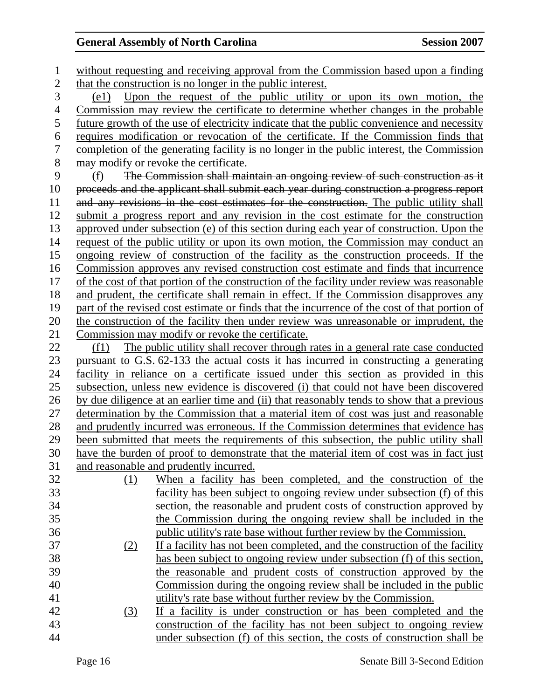1 without requesting and receiving approval from the Commission based upon a finding 2 that the construction is no longer in the public interest. 3 (e1) Upon the request of the public utility or upon its own motion, the 4 Commission may review the certificate to determine whether changes in the probable 5 future growth of the use of electricity indicate that the public convenience and necessity 6 requires modification or revocation of the certificate. If the Commission finds that 7 completion of the generating facility is no longer in the public interest, the Commission 8 may modify or revoke the certificate. 9 (f) The Commission shall maintain an ongoing review of such construction as it 10 proceeds and the applicant shall submit each year during construction a progress report 11 and any revisions in the cost estimates for the construction. The public utility shall 12 submit a progress report and any revision in the cost estimate for the construction 13 approved under subsection (e) of this section during each year of construction. Upon the 14 request of the public utility or upon its own motion, the Commission may conduct an 15 ongoing review of construction of the facility as the construction proceeds. If the 16 Commission approves any revised construction cost estimate and finds that incurrence 17 of the cost of that portion of the construction of the facility under review was reasonable 18 and prudent, the certificate shall remain in effect. If the Commission disapproves any 19 part of the revised cost estimate or finds that the incurrence of the cost of that portion of 20 the construction of the facility then under review was unreasonable or imprudent, the 21 Commission may modify or revoke the certificate. 22 (f1) The public utility shall recover through rates in a general rate case conducted 23 pursuant to G.S. 62-133 the actual costs it has incurred in constructing a generating 24 facility in reliance on a certificate issued under this section as provided in this 25 subsection, unless new evidence is discovered (i) that could not have been discovered 26 by due diligence at an earlier time and (ii) that reasonably tends to show that a previous 27 determination by the Commission that a material item of cost was just and reasonable 28 and prudently incurred was erroneous. If the Commission determines that evidence has 29 been submitted that meets the requirements of this subsection, the public utility shall 30 have the burden of proof to demonstrate that the material item of cost was in fact just 31 and reasonable and prudently incurred. 32 (1) When a facility has been completed, and the construction of the 33 facility has been subject to ongoing review under subsection (f) of this 34 section, the reasonable and prudent costs of construction approved by 35 the Commission during the ongoing review shall be included in the 36 public utility's rate base without further review by the Commission. 37 (2) If a facility has not been completed, and the construction of the facility 38 has been subject to ongoing review under subsection (f) of this section, 39 the reasonable and prudent costs of construction approved by the 40 Commission during the ongoing review shall be included in the public 41 utility's rate base without further review by the Commission. 42 (3) If a facility is under construction or has been completed and the 43 construction of the facility has not been subject to ongoing review 44 under subsection (f) of this section, the costs of construction shall be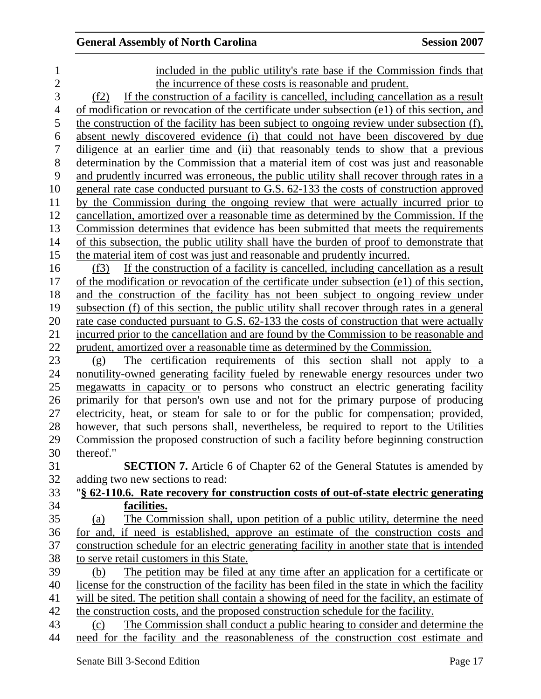| 1              | included in the public utility's rate base if the Commission finds that                        |
|----------------|------------------------------------------------------------------------------------------------|
| $\overline{2}$ | the incurrence of these costs is reasonable and prudent.                                       |
| 3              | If the construction of a facility is cancelled, including cancellation as a result<br>(f2)     |
| $\overline{4}$ | of modification or revocation of the certificate under subsection (e1) of this section, and    |
| 5              | the construction of the facility has been subject to ongoing review under subsection (f),      |
| 6              | absent newly discovered evidence (i) that could not have been discovered by due                |
| 7              | diligence at an earlier time and (ii) that reasonably tends to show that a previous            |
| 8              | determination by the Commission that a material item of cost was just and reasonable           |
| 9              | and prudently incurred was erroneous, the public utility shall recover through rates in a      |
| 10             | <u>general rate case conducted pursuant to G.S. 62-133 the costs of construction approved</u>  |
| 11             | by the Commission during the ongoing review that were actually incurred prior to               |
| 12             | cancellation, amortized over a reasonable time as determined by the Commission. If the         |
| 13             | Commission determines that evidence has been submitted that meets the requirements             |
| 14             | of this subsection, the public utility shall have the burden of proof to demonstrate that      |
| 15             | the material item of cost was just and reasonable and prudently incurred.                      |
| 16             | If the construction of a facility is cancelled, including cancellation as a result<br>(f3)     |
| 17             | of the modification or revocation of the certificate under subsection (e1) of this section,    |
| 18             | and the construction of the facility has not been subject to ongoing review under              |
| 19             | subsection (f) of this section, the public utility shall recover through rates in a general    |
| 20             | rate case conducted pursuant to G.S. 62-133 the costs of construction that were actually       |
| 21             | incurred prior to the cancellation and are found by the Commission to be reasonable and        |
| 22             | prudent, amortized over a reasonable time as determined by the Commission.                     |
| 23             | The certification requirements of this section shall not apply to a<br>(g)                     |
| 24             | nonutility-owned generating facility fueled by renewable energy resources under two            |
| 25             | megawatts in capacity or to persons who construct an electric generating facility              |
| 26             | primarily for that person's own use and not for the primary purpose of producing               |
| 27             | electricity, heat, or steam for sale to or for the public for compensation; provided,          |
| 28             | however, that such persons shall, nevertheless, be required to report to the Utilities         |
| 29             | Commission the proposed construction of such a facility before beginning construction          |
| 30             | thereof."                                                                                      |
| 31             | <b>SECTION 7.</b> Article 6 of Chapter 62 of the General Statutes is amended by                |
| 32             | adding two new sections to read:                                                               |
| 33             | "§ 62-110.6. Rate recovery for construction costs of out-of-state electric generating          |
| 34             | facilities.                                                                                    |
| 35             | The Commission shall, upon petition of a public utility, determine the need<br>(a)             |
| 36             | for and, if need is established, approve an estimate of the construction costs and             |
| 37             | construction schedule for an electric generating facility in another state that is intended    |
| 38             | to serve retail customers in this State.                                                       |
| 39             | The petition may be filed at any time after an application for a certificate or<br>(b)         |
| 40             | license for the construction of the facility has been filed in the state in which the facility |
| 41             | will be sited. The petition shall contain a showing of need for the facility, an estimate of   |
| 42             | the construction costs, and the proposed construction schedule for the facility.               |
| 43             | The Commission shall conduct a public hearing to consider and determine the<br>(c)             |
| 44             | need for the facility and the reasonableness of the construction cost estimate and             |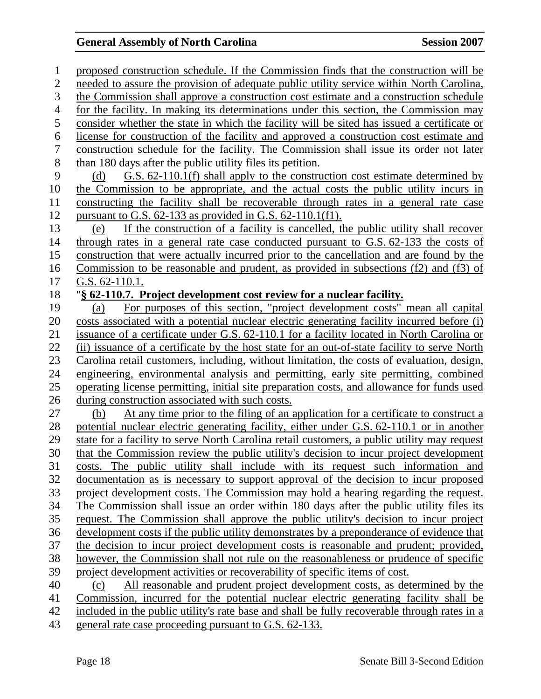1 proposed construction schedule. If the Commission finds that the construction will be 2 needed to assure the provision of adequate public utility service within North Carolina, 3 the Commission shall approve a construction cost estimate and a construction schedule 4 for the facility. In making its determinations under this section, the Commission may 5 consider whether the state in which the facility will be sited has issued a certificate or 6 license for construction of the facility and approved a construction cost estimate and 7 construction schedule for the facility. The Commission shall issue its order not later 8 than 180 days after the public utility files its petition. 9 (d) G.S. 62-110.1(f) shall apply to the construction cost estimate determined by 10 the Commission to be appropriate, and the actual costs the public utility incurs in 11 constructing the facility shall be recoverable through rates in a general rate case 12 pursuant to G.S. 62-133 as provided in G.S. 62-110.1(f1). 13 (e) If the construction of a facility is cancelled, the public utility shall recover 14 through rates in a general rate case conducted pursuant to G.S. 62-133 the costs of 15 construction that were actually incurred prior to the cancellation and are found by the 16 Commission to be reasonable and prudent, as provided in subsections (f2) and (f3) of 17 G.S. 62-110.1. 18 "**§ 62-110.7. Project development cost review for a nuclear facility.** 19 (a) For purposes of this section, "project development costs" mean all capital 20 costs associated with a potential nuclear electric generating facility incurred before (i) 21 issuance of a certificate under G.S. 62-110.1 for a facility located in North Carolina or 22 (ii) issuance of a certificate by the host state for an out-of-state facility to serve North 23 Carolina retail customers, including, without limitation, the costs of evaluation, design, 24 engineering, environmental analysis and permitting, early site permitting, combined 25 operating license permitting, initial site preparation costs, and allowance for funds used 26 during construction associated with such costs. 27 (b) At any time prior to the filing of an application for a certificate to construct a 28 potential nuclear electric generating facility, either under G.S. 62-110.1 or in another 29 state for a facility to serve North Carolina retail customers, a public utility may request 30 that the Commission review the public utility's decision to incur project development 31 costs. The public utility shall include with its request such information and 32 documentation as is necessary to support approval of the decision to incur proposed 33 project development costs. The Commission may hold a hearing regarding the request. 34 The Commission shall issue an order within 180 days after the public utility files its 35 request. The Commission shall approve the public utility's decision to incur project 36 development costs if the public utility demonstrates by a preponderance of evidence that 37 the decision to incur project development costs is reasonable and prudent; provided, 38 however, the Commission shall not rule on the reasonableness or prudence of specific 39 project development activities or recoverability of specific items of cost. 40 (c) All reasonable and prudent project development costs, as determined by the 41 Commission, incurred for the potential nuclear electric generating facility shall be 42 included in the public utility's rate base and shall be fully recoverable through rates in a 43 general rate case proceeding pursuant to G.S. 62-133.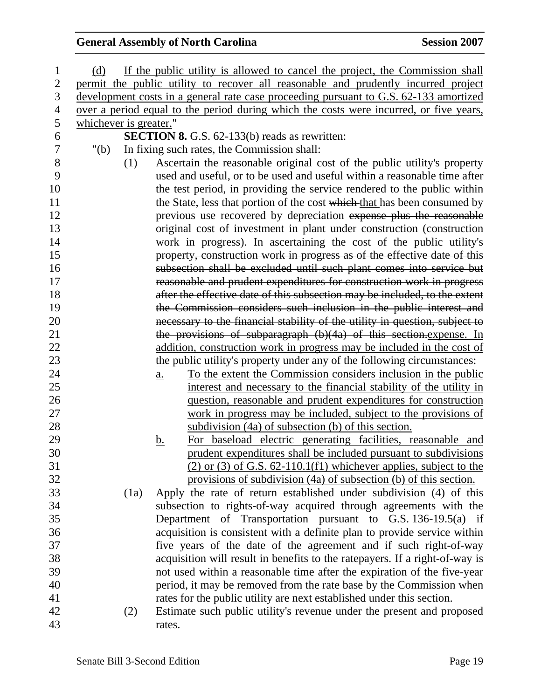| 1              | (d)                    |      | If the public utility is allowed to cancel the project, the Commission shall           |
|----------------|------------------------|------|----------------------------------------------------------------------------------------|
| $\overline{2}$ |                        |      | permit the public utility to recover all reasonable and prudently incurred project     |
| 3              |                        |      | development costs in a general rate case proceeding pursuant to G.S. 62-133 amortized  |
| $\overline{4}$ |                        |      | over a period equal to the period during which the costs were incurred, or five years, |
| 5              | whichever is greater." |      |                                                                                        |
| 6              |                        |      | <b>SECTION 8.</b> G.S. 62-133(b) reads as rewritten:                                   |
| 7              | " $(b)$                |      | In fixing such rates, the Commission shall:                                            |
| 8              |                        | (1)  | Ascertain the reasonable original cost of the public utility's property                |
| 9              |                        |      | used and useful, or to be used and useful within a reasonable time after               |
| 10             |                        |      | the test period, in providing the service rendered to the public within                |
| 11             |                        |      | the State, less that portion of the cost which that has been consumed by               |
| 12             |                        |      | previous use recovered by depreciation expense plus the reasonable                     |
| 13             |                        |      | original cost of investment in plant under construction (construction                  |
| 14             |                        |      | work in progress). In ascertaining the cost of the public utility's                    |
| 15             |                        |      | property, construction work in progress as of the effective date of this               |
| 16             |                        |      | subsection shall be excluded until such plant comes into service but                   |
| 17             |                        |      | reasonable and prudent expenditures for construction work in progress                  |
| 18             |                        |      | after the effective date of this subsection may be included, to the extent             |
| 19             |                        |      | the Commission considers such inclusion in the public interest and                     |
| 20             |                        |      | necessary to the financial stability of the utility in question, subject to            |
| 21             |                        |      | the provisions of subparagraph (b)(4a) of this section.expense. In                     |
| 22             |                        |      | addition, construction work in progress may be included in the cost of                 |
| 23             |                        |      | the public utility's property under any of the following circumstances:                |
| 24             |                        |      | To the extent the Commission considers inclusion in the public<br>$\underline{a}$ .    |
| 25             |                        |      | interest and necessary to the financial stability of the utility in                    |
| 26             |                        |      | question, reasonable and prudent expenditures for construction                         |
| 27             |                        |      | work in progress may be included, subject to the provisions of                         |
| 28             |                        |      | subdivision (4a) of subsection (b) of this section.                                    |
| 29             |                        |      | For baseload electric generating facilities, reasonable and<br><u>b.</u>               |
| 30             |                        |      | prudent expenditures shall be included pursuant to subdivisions                        |
| 31             |                        |      | $(2)$ or $(3)$ of G.S. 62-110.1(f1) whichever applies, subject to the                  |
| 32             |                        |      | provisions of subdivision (4a) of subsection (b) of this section.                      |
| 33             |                        | (1a) | Apply the rate of return established under subdivision (4) of this                     |
| 34             |                        |      | subsection to rights-of-way acquired through agreements with the                       |
| 35             |                        |      | Department of Transportation pursuant to G.S. 136-19.5(a) if                           |
| 36             |                        |      | acquisition is consistent with a definite plan to provide service within               |
| 37             |                        |      | five years of the date of the agreement and if such right-of-way                       |
| 38             |                        |      | acquisition will result in benefits to the ratepayers. If a right-of-way is            |
| 39             |                        |      | not used within a reasonable time after the expiration of the five-year                |
| 40             |                        |      | period, it may be removed from the rate base by the Commission when                    |
| 41             |                        |      | rates for the public utility are next established under this section.                  |
| 42             |                        | (2)  | Estimate such public utility's revenue under the present and proposed                  |
| 43             |                        |      | rates.                                                                                 |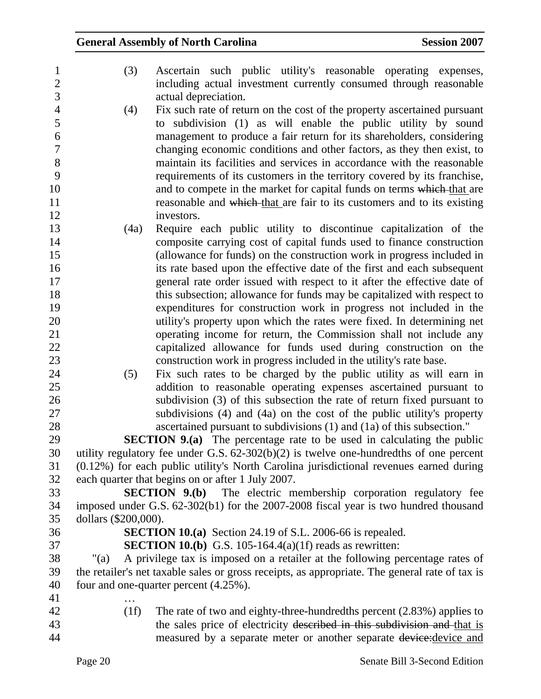| $\mathbf{1}$     | (3)                  | Ascertain such public utility's reasonable operating expenses,                                 |
|------------------|----------------------|------------------------------------------------------------------------------------------------|
| $\overline{c}$   |                      | including actual investment currently consumed through reasonable                              |
| 3                |                      | actual depreciation.                                                                           |
| $\overline{4}$   | (4)                  | Fix such rate of return on the cost of the property ascertained pursuant                       |
| 5                |                      | to subdivision (1) as will enable the public utility by sound                                  |
| 6                |                      | management to produce a fair return for its shareholders, considering                          |
| $\boldsymbol{7}$ |                      | changing economic conditions and other factors, as they then exist, to                         |
| 8                |                      | maintain its facilities and services in accordance with the reasonable                         |
| 9                |                      | requirements of its customers in the territory covered by its franchise,                       |
| 10               |                      | and to compete in the market for capital funds on terms which that are                         |
| 11               |                      | reasonable and which that are fair to its customers and to its existing                        |
| 12               |                      | investors.                                                                                     |
| 13               | (4a)                 | Require each public utility to discontinue capitalization of the                               |
| 14               |                      | composite carrying cost of capital funds used to finance construction                          |
| 15               |                      | (allowance for funds) on the construction work in progress included in                         |
| 16               |                      | its rate based upon the effective date of the first and each subsequent                        |
| 17               |                      | general rate order issued with respect to it after the effective date of                       |
| 18               |                      | this subsection; allowance for funds may be capitalized with respect to                        |
| 19               |                      | expenditures for construction work in progress not included in the                             |
| 20               |                      | utility's property upon which the rates were fixed. In determining net                         |
| 21               |                      | operating income for return, the Commission shall not include any                              |
| 22               |                      | capitalized allowance for funds used during construction on the                                |
| 23               |                      | construction work in progress included in the utility's rate base.                             |
| 24               | (5)                  | Fix such rates to be charged by the public utility as will earn in                             |
| 25               |                      | addition to reasonable operating expenses ascertained pursuant to                              |
| 26               |                      | subdivision (3) of this subsection the rate of return fixed pursuant to                        |
| 27               |                      | subdivisions (4) and (4a) on the cost of the public utility's property                         |
| 28               |                      | ascertained pursuant to subdivisions (1) and (1a) of this subsection."                         |
| 29               |                      | <b>SECTION 9.(a)</b> The percentage rate to be used in calculating the public                  |
| 30               |                      | utility regulatory fee under G.S. $62-302(b)(2)$ is twelve one-hundredths of one percent       |
| 31               |                      | (0.12%) for each public utility's North Carolina jurisdictional revenues earned during         |
| 32               |                      | each quarter that begins on or after 1 July 2007.                                              |
| 33               |                      | <b>SECTION 9.(b)</b> The electric membership corporation regulatory fee                        |
| 34               |                      | imposed under G.S. 62-302(b1) for the 2007-2008 fiscal year is two hundred thousand            |
| 35               | dollars (\$200,000). |                                                                                                |
| 36               |                      | <b>SECTION 10.(a)</b> Section 24.19 of S.L. 2006-66 is repealed.                               |
| 37               |                      | <b>SECTION 10.(b)</b> G.S. 105-164.4(a)(1f) reads as rewritten:                                |
| 38               | " $(a)$              | A privilege tax is imposed on a retailer at the following percentage rates of                  |
| 39               |                      | the retailer's net taxable sales or gross receipts, as appropriate. The general rate of tax is |
| 40               |                      | four and one-quarter percent (4.25%).                                                          |
| 41               |                      |                                                                                                |
| 42               | (1f)                 | The rate of two and eighty-three-hundredths percent $(2.83%)$ applies to                       |
| 43               |                      | the sales price of electricity described in this subdivision and that is                       |
| 44               |                      | measured by a separate meter or another separate device: device and                            |
|                  |                      |                                                                                                |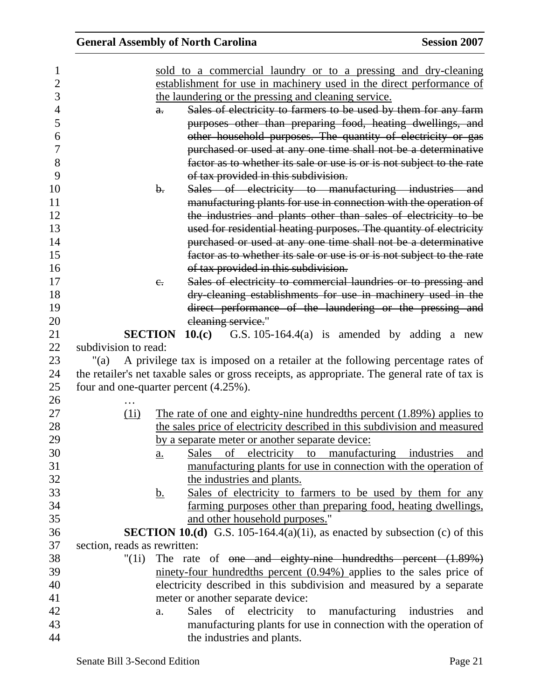|                              | <b>General Assembly of North Carolina</b>                                                      | <b>Session 2007</b> |
|------------------------------|------------------------------------------------------------------------------------------------|---------------------|
|                              | sold to a commercial laundry or to a pressing and dry-cleaning                                 |                     |
|                              | establishment for use in machinery used in the direct performance of                           |                     |
|                              | the laundering or the pressing and cleaning service.                                           |                     |
|                              | Sales of electricity to farmers to be used by them for any farm<br>$a$ .                       |                     |
|                              | purposes other than preparing food, heating dwellings, and                                     |                     |
|                              | other household purposes. The quantity of electricity or gas                                   |                     |
|                              | purchased or used at any one time shall not be a determinative                                 |                     |
|                              | factor as to whether its sale or use is or is not subject to the rate                          |                     |
|                              | of tax provided in this subdivision.                                                           |                     |
|                              | Sales of electricity to manufacturing industries and<br>$\mathbf{b}$ .                         |                     |
|                              |                                                                                                |                     |
|                              | manufacturing plants for use in connection with the operation of                               |                     |
|                              | the industries and plants other than sales of electricity to be                                |                     |
|                              | used for residential heating purposes. The quantity of electricity                             |                     |
|                              | purchased or used at any one time shall not be a determinative                                 |                     |
|                              | factor as to whether its sale or use is or is not subject to the rate                          |                     |
|                              | of tax provided in this subdivision.                                                           |                     |
|                              | Sales of electricity to commercial laundries or to pressing and<br>$e$ .                       |                     |
|                              | dry cleaning establishments for use in machinery used in the                                   |                     |
|                              | direct performance of the laundering or the pressing and                                       |                     |
|                              | cleaning service."                                                                             |                     |
|                              | <b>SECTION</b><br>10.(c)<br>G.S. $105-164.4(a)$ is amended by adding a new                     |                     |
| subdivision to read:         |                                                                                                |                     |
| "(a)                         | A privilege tax is imposed on a retailer at the following percentage rates of                  |                     |
|                              | the retailer's net taxable sales or gross receipts, as appropriate. The general rate of tax is |                     |
|                              | four and one-quarter percent (4.25%).                                                          |                     |
|                              |                                                                                                |                     |
| (1i)                         | The rate of one and eighty-nine hundredths percent $(1.89\%)$ applies to                       |                     |
|                              | the sales price of electricity described in this subdivision and measured                      |                     |
|                              | by a separate meter or another separate device:                                                |                     |
|                              | of electricity to manufacturing industries<br><b>Sales</b><br><u>a.</u>                        | and                 |
|                              | manufacturing plants for use in connection with the operation of                               |                     |
|                              | the industries and plants.                                                                     |                     |
|                              | Sales of electricity to farmers to be used by them for any<br><u>b.</u>                        |                     |
|                              | farming purposes other than preparing food, heating dwellings,                                 |                     |
|                              | and other household purposes."                                                                 |                     |
|                              | <b>SECTION 10.(d)</b> G.S. 105-164.4(a)(1i), as enacted by subsection (c) of this              |                     |
| section, reads as rewritten: |                                                                                                |                     |
| "(1i)                        | The rate of <del>one and eighty-nine hundredths percent (1.89%)</del>                          |                     |
|                              | $\frac{1}{2}$ minety-four hundredths percent (0.94%) applies to the sales price of             |                     |
|                              | electricity described in this subdivision and measured by a separate                           |                     |
|                              | meter or another separate device:                                                              |                     |
|                              | Sales of electricity to manufacturing industries<br>a.                                         | and                 |
|                              | manufacturing plants for use in connection with the operation of                               |                     |
|                              | the industries and plants.                                                                     |                     |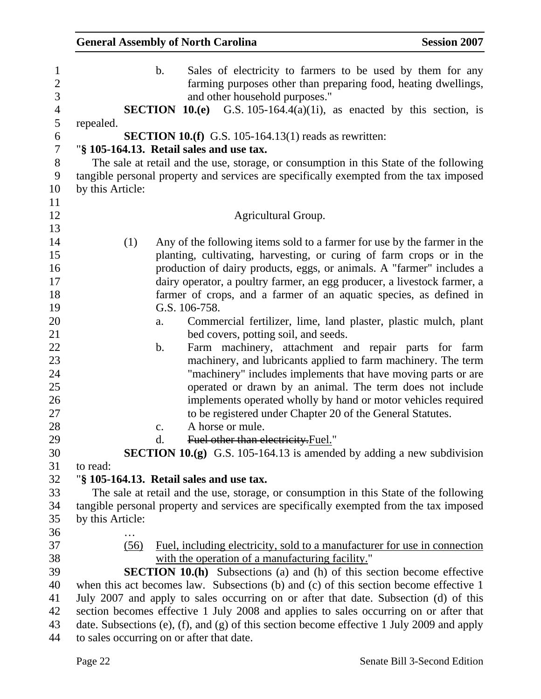| <b>General Assembly of North Carolina</b> |                                                                                                                                                                                                                                                                                                                                                                                                                                                                                                                                                                                                                                                                                                                                                                                                                                                                                                                   | <b>Session 2007</b> |
|-------------------------------------------|-------------------------------------------------------------------------------------------------------------------------------------------------------------------------------------------------------------------------------------------------------------------------------------------------------------------------------------------------------------------------------------------------------------------------------------------------------------------------------------------------------------------------------------------------------------------------------------------------------------------------------------------------------------------------------------------------------------------------------------------------------------------------------------------------------------------------------------------------------------------------------------------------------------------|---------------------|
| b.                                        | Sales of electricity to farmers to be used by them for any<br>farming purposes other than preparing food, heating dwellings,<br>and other household purposes."<br><b>SECTION 10.(e)</b> G.S. 105-164.4(a)(1i), as enacted by this section, is                                                                                                                                                                                                                                                                                                                                                                                                                                                                                                                                                                                                                                                                     |                     |
|                                           |                                                                                                                                                                                                                                                                                                                                                                                                                                                                                                                                                                                                                                                                                                                                                                                                                                                                                                                   |                     |
| repealed.                                 | <b>SECTION 10.(f)</b> G.S. 105-164.13(1) reads as rewritten:                                                                                                                                                                                                                                                                                                                                                                                                                                                                                                                                                                                                                                                                                                                                                                                                                                                      |                     |
|                                           | "§ 105-164.13. Retail sales and use tax.                                                                                                                                                                                                                                                                                                                                                                                                                                                                                                                                                                                                                                                                                                                                                                                                                                                                          |                     |
| by this Article:                          | The sale at retail and the use, storage, or consumption in this State of the following<br>tangible personal property and services are specifically exempted from the tax imposed                                                                                                                                                                                                                                                                                                                                                                                                                                                                                                                                                                                                                                                                                                                                  |                     |
|                                           | Agricultural Group.                                                                                                                                                                                                                                                                                                                                                                                                                                                                                                                                                                                                                                                                                                                                                                                                                                                                                               |                     |
| (1)<br>a.<br>b.<br>c.                     | Any of the following items sold to a farmer for use by the farmer in the<br>planting, cultivating, harvesting, or curing of farm crops or in the<br>production of dairy products, eggs, or animals. A "farmer" includes a<br>dairy operator, a poultry farmer, an egg producer, a livestock farmer, a<br>farmer of crops, and a farmer of an aquatic species, as defined in<br>G.S. 106-758.<br>Commercial fertilizer, lime, land plaster, plastic mulch, plant<br>bed covers, potting soil, and seeds.<br>Farm machinery, attachment and repair parts for farm<br>machinery, and lubricants applied to farm machinery. The term<br>"machinery" includes implements that have moving parts or are<br>operated or drawn by an animal. The term does not include<br>implements operated wholly by hand or motor vehicles required<br>to be registered under Chapter 20 of the General Statutes.<br>A horse or mule. |                     |
| d.                                        | Fuel other than electricity. Fuel."                                                                                                                                                                                                                                                                                                                                                                                                                                                                                                                                                                                                                                                                                                                                                                                                                                                                               |                     |
|                                           | <b>SECTION 10.(g)</b> G.S. 105-164.13 is amended by adding a new subdivision                                                                                                                                                                                                                                                                                                                                                                                                                                                                                                                                                                                                                                                                                                                                                                                                                                      |                     |
| to read:                                  |                                                                                                                                                                                                                                                                                                                                                                                                                                                                                                                                                                                                                                                                                                                                                                                                                                                                                                                   |                     |
|                                           | "§ 105-164.13. Retail sales and use tax.                                                                                                                                                                                                                                                                                                                                                                                                                                                                                                                                                                                                                                                                                                                                                                                                                                                                          |                     |
|                                           | The sale at retail and the use, storage, or consumption in this State of the following                                                                                                                                                                                                                                                                                                                                                                                                                                                                                                                                                                                                                                                                                                                                                                                                                            |                     |
|                                           | tangible personal property and services are specifically exempted from the tax imposed                                                                                                                                                                                                                                                                                                                                                                                                                                                                                                                                                                                                                                                                                                                                                                                                                            |                     |
| by this Article:                          |                                                                                                                                                                                                                                                                                                                                                                                                                                                                                                                                                                                                                                                                                                                                                                                                                                                                                                                   |                     |
| (56)                                      | Fuel, including electricity, sold to a manufacturer for use in connection                                                                                                                                                                                                                                                                                                                                                                                                                                                                                                                                                                                                                                                                                                                                                                                                                                         |                     |
|                                           | with the operation of a manufacturing facility."                                                                                                                                                                                                                                                                                                                                                                                                                                                                                                                                                                                                                                                                                                                                                                                                                                                                  |                     |
|                                           | <b>SECTION 10.(h)</b> Subsections (a) and (h) of this section become effective                                                                                                                                                                                                                                                                                                                                                                                                                                                                                                                                                                                                                                                                                                                                                                                                                                    |                     |
|                                           | when this act becomes law. Subsections (b) and (c) of this section become effective 1                                                                                                                                                                                                                                                                                                                                                                                                                                                                                                                                                                                                                                                                                                                                                                                                                             |                     |
|                                           | July 2007 and apply to sales occurring on or after that date. Subsection (d) of this                                                                                                                                                                                                                                                                                                                                                                                                                                                                                                                                                                                                                                                                                                                                                                                                                              |                     |
|                                           | section becomes effective 1 July 2008 and applies to sales occurring on or after that                                                                                                                                                                                                                                                                                                                                                                                                                                                                                                                                                                                                                                                                                                                                                                                                                             |                     |
|                                           | date. Subsections (e), (f), and (g) of this section become effective 1 July 2009 and apply                                                                                                                                                                                                                                                                                                                                                                                                                                                                                                                                                                                                                                                                                                                                                                                                                        |                     |
| to sales occurring on or after that date. |                                                                                                                                                                                                                                                                                                                                                                                                                                                                                                                                                                                                                                                                                                                                                                                                                                                                                                                   |                     |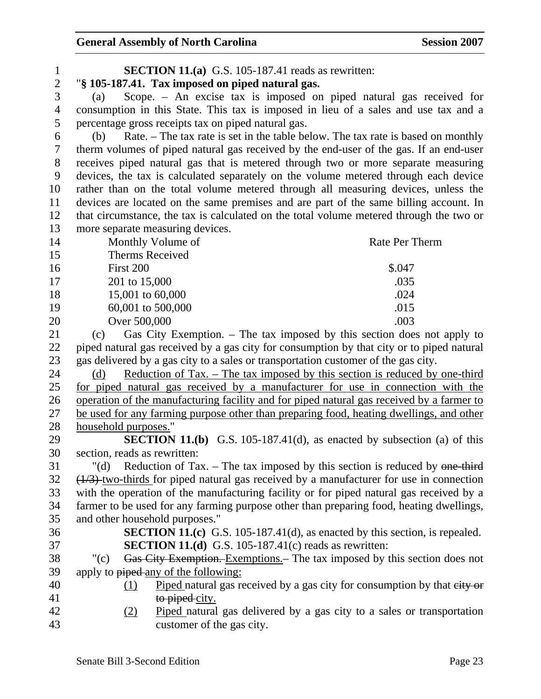| $\mathbf{1}$   | <b>SECTION 11.(a)</b> G.S. 105-187.41 reads as rewritten:                                       |                                                                                        |
|----------------|-------------------------------------------------------------------------------------------------|----------------------------------------------------------------------------------------|
| $\overline{2}$ | "§ 105-187.41. Tax imposed on piped natural gas.                                                |                                                                                        |
| 3              | (a)                                                                                             | Scope. - An excise tax is imposed on piped natural gas received for                    |
| $\overline{4}$ | consumption in this State. This tax is imposed in lieu of a sales and use tax and a             |                                                                                        |
| 5              | percentage gross receipts tax on piped natural gas.                                             |                                                                                        |
| 6              | (b)                                                                                             | Rate. - The tax rate is set in the table below. The tax rate is based on monthly       |
| $\tau$         | therm volumes of piped natural gas received by the end-user of the gas. If an end-user          |                                                                                        |
| $8\,$          | receives piped natural gas that is metered through two or more separate measuring               |                                                                                        |
| 9              | devices, the tax is calculated separately on the volume metered through each device             |                                                                                        |
| 10             | rather than on the total volume metered through all measuring devices, unless the               |                                                                                        |
| 11             | devices are located on the same premises and are part of the same billing account. In           |                                                                                        |
| 12             | that circumstance, the tax is calculated on the total volume metered through the two or         |                                                                                        |
| 13             | more separate measuring devices.                                                                |                                                                                        |
| 14             | Monthly Volume of                                                                               | Rate Per Therm                                                                         |
| 15             | <b>Therms Received</b>                                                                          |                                                                                        |
| 16             | First 200                                                                                       | \$.047                                                                                 |
| 17             | 201 to 15,000                                                                                   | .035                                                                                   |
| 18             | 15,001 to 60,000                                                                                | .024                                                                                   |
| 19             | 60,001 to 500,000                                                                               | .015                                                                                   |
| 20             | Over 500,000                                                                                    | .003                                                                                   |
| 21             | (c)                                                                                             | Gas City Exemption. – The tax imposed by this section does not apply to                |
| 22             | piped natural gas received by a gas city for consumption by that city or to piped natural       |                                                                                        |
| 23             | gas delivered by a gas city to a sales or transportation customer of the gas city.              |                                                                                        |
| 24             | (d)                                                                                             | <u>Reduction of Tax. – The tax imposed by this section is reduced by one-third</u>     |
| 25             | for piped natural gas received by a manufacturer for use in connection with the                 |                                                                                        |
| 26             | operation of the manufacturing facility and for piped natural gas received by a farmer to       |                                                                                        |
| 27             | be used for any farming purpose other than preparing food, heating dwellings, and other         |                                                                                        |
| 28             | household purposes."                                                                            |                                                                                        |
| 29             |                                                                                                 | <b>SECTION 11.(b)</b> G.S. 105-187.41(d), as enacted by subsection (a) of this         |
| 30             | section, reads as rewritten:                                                                    |                                                                                        |
| 31             | " $(d)$                                                                                         | Reduction of Tax. $-$ The tax imposed by this section is reduced by $\theta$ one third |
| 32             | $\frac{1}{3}$ two-thirds for piped natural gas received by a manufacturer for use in connection |                                                                                        |
| 33             | with the operation of the manufacturing facility or for piped natural gas received by a         |                                                                                        |
| 34             | farmer to be used for any farming purpose other than preparing food, heating dwellings,         |                                                                                        |
| 35             | and other household purposes."                                                                  |                                                                                        |
| 36             |                                                                                                 | <b>SECTION 11.(c)</b> G.S. 105-187.41(d), as enacted by this section, is repealed.     |
| 37             | <b>SECTION 11.(d)</b> G.S. 105-187.41(c) reads as rewritten:                                    |                                                                                        |
| 38             | " $(c)$                                                                                         | Gas City Exemption. Exemptions. The tax imposed by this section does not               |
| 39             | apply to piped-any of the following:                                                            |                                                                                        |
| 40             | (1)                                                                                             | Piped natural gas received by a gas city for consumption by that eity or               |
| 41             | to piped city.                                                                                  |                                                                                        |
| 42             | (2)                                                                                             | Piped natural gas delivered by a gas city to a sales or transportation                 |
| 43             | customer of the gas city.                                                                       |                                                                                        |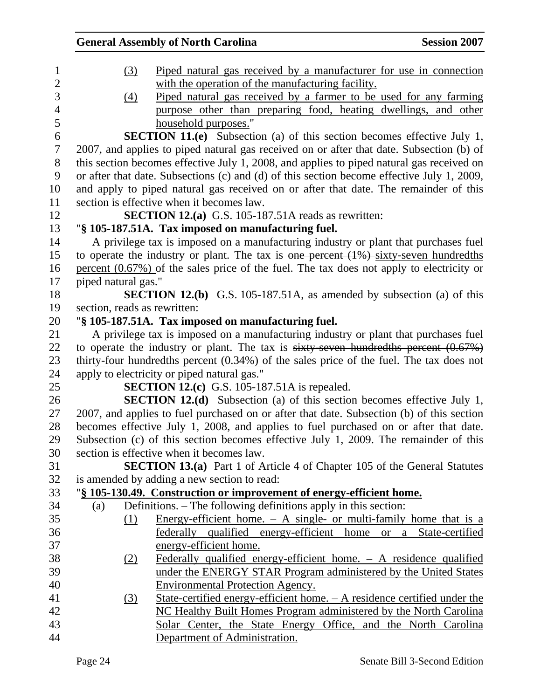|                              | <b>General Assembly of North Carolina</b>                                                                                               | <b>Session 2007</b> |
|------------------------------|-----------------------------------------------------------------------------------------------------------------------------------------|---------------------|
| (3)                          | Piped natural gas received by a manufacturer for use in connection                                                                      |                     |
|                              | with the operation of the manufacturing facility.                                                                                       |                     |
| (4)                          | Piped natural gas received by a farmer to be used for any farming                                                                       |                     |
|                              | purpose other than preparing food, heating dwellings, and other                                                                         |                     |
|                              | household purposes."                                                                                                                    |                     |
|                              | <b>SECTION 11.(e)</b> Subsection (a) of this section becomes effective July 1,                                                          |                     |
|                              | 2007, and applies to piped natural gas received on or after that date. Subsection (b) of                                                |                     |
|                              | this section becomes effective July 1, 2008, and applies to piped natural gas received on                                               |                     |
|                              | or after that date. Subsections (c) and (d) of this section become effective July 1, 2009,                                              |                     |
|                              | and apply to piped natural gas received on or after that date. The remainder of this                                                    |                     |
|                              | section is effective when it becomes law.                                                                                               |                     |
|                              | <b>SECTION 12.(a)</b> G.S. 105-187.51A reads as rewritten:                                                                              |                     |
|                              | "§ 105-187.51A. Tax imposed on manufacturing fuel.                                                                                      |                     |
|                              | A privilege tax is imposed on a manufacturing industry or plant that purchases fuel                                                     |                     |
|                              | to operate the industry or plant. The tax is one percent $(1\%)$ -sixty-seven hundredths                                                |                     |
|                              | percent $(0.67\%)$ of the sales price of the fuel. The tax does not apply to electricity or                                             |                     |
| piped natural gas."          |                                                                                                                                         |                     |
|                              | <b>SECTION 12.(b)</b> G.S. 105-187.51A, as amended by subsection (a) of this                                                            |                     |
| section, reads as rewritten: |                                                                                                                                         |                     |
|                              | "§ 105-187.51A. Tax imposed on manufacturing fuel.                                                                                      |                     |
|                              | A privilege tax is imposed on a manufacturing industry or plant that purchases fuel                                                     |                     |
|                              | to operate the industry or plant. The tax is $sixty$ -seven hundred ths percent $(0.67%)$                                               |                     |
|                              | thirty-four hundredths percent $(0.34\%)$ of the sales price of the fuel. The tax does not                                              |                     |
|                              | apply to electricity or piped natural gas."                                                                                             |                     |
|                              | <b>SECTION 12.(c)</b> G.S. 105-187.51A is repealed.                                                                                     |                     |
|                              | <b>SECTION 12.(d)</b> Subsection (a) of this section becomes effective July 1,                                                          |                     |
|                              | 2007, and applies to fuel purchased on or after that date. Subsection (b) of this section                                               |                     |
|                              | becomes effective July 1, 2008, and applies to fuel purchased on or after that date.                                                    |                     |
|                              | Subsection (c) of this section becomes effective July 1, 2009. The remainder of this                                                    |                     |
|                              | section is effective when it becomes law.                                                                                               |                     |
|                              | <b>SECTION 13.(a)</b> Part 1 of Article 4 of Chapter 105 of the General Statutes                                                        |                     |
|                              | is amended by adding a new section to read:                                                                                             |                     |
|                              | "§ 105-130.49. Construction or improvement of energy-efficient home.<br>Definitions. – The following definitions apply in this section: |                     |
| <u>(a)</u><br>(1)            | <u>Energy-efficient home. <math>- A</math> single- or multi-family home that is a</u>                                                   |                     |
|                              | federally qualified energy-efficient home or a State-certified                                                                          |                     |
|                              | energy-efficient home.                                                                                                                  |                     |
|                              | Federally qualified energy-efficient home. $-$ A residence qualified                                                                    |                     |
| <u>(2)</u>                   | under the ENERGY STAR Program administered by the United States                                                                         |                     |
|                              | <b>Environmental Protection Agency.</b>                                                                                                 |                     |
| <u>(3)</u>                   | <u> State-certified energy-efficient home. – A residence certified under the</u>                                                        |                     |
|                              | NC Healthy Built Homes Program administered by the North Carolina                                                                       |                     |
|                              | Solar Center, the State Energy Office, and the North Carolina                                                                           |                     |
|                              | Department of Administration.                                                                                                           |                     |
|                              |                                                                                                                                         |                     |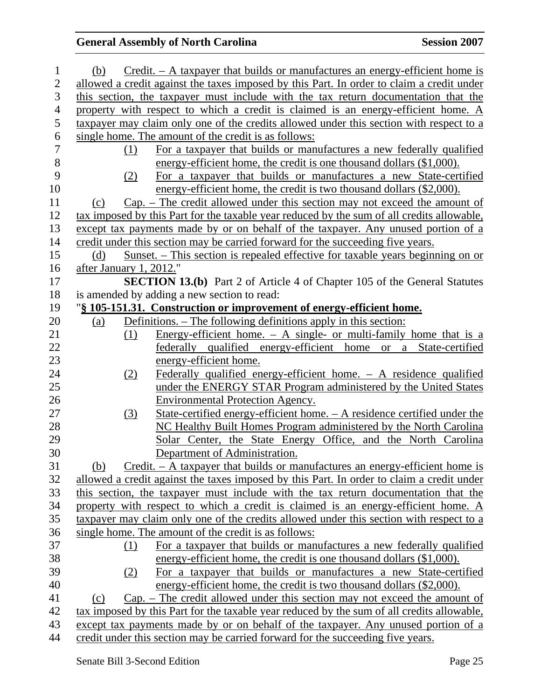| 1              | (b)                     |     | $Credit. - A taxpayer that builds or manufacturers an energy-efficient home is$            |
|----------------|-------------------------|-----|--------------------------------------------------------------------------------------------|
| $\overline{2}$ |                         |     | allowed a credit against the taxes imposed by this Part. In order to claim a credit under  |
| 3              |                         |     | this section, the taxpayer must include with the tax return documentation that the         |
| $\overline{4}$ |                         |     | property with respect to which a credit is claimed is an energy-efficient home. A          |
| 5              |                         |     | taxpayer may claim only one of the credits allowed under this section with respect to a    |
| 6              |                         |     | single home. The amount of the credit is as follows:                                       |
| $\overline{7}$ |                         | (1) | For a taxpayer that builds or manufactures a new federally qualified                       |
| $8\,$          |                         |     | energy-efficient home, the credit is one thousand dollars (\$1,000).                       |
| 9              |                         | (2) | For a taxpayer that builds or manufactures a new State-certified                           |
| 10             |                         |     | energy-efficient home, the credit is two thousand dollars (\$2,000).                       |
| 11             | (c)                     |     | $Cap.$ – The credit allowed under this section may not exceed the amount of                |
| 12             |                         |     | tax imposed by this Part for the taxable year reduced by the sum of all credits allowable. |
| 13             |                         |     | except tax payments made by or on behalf of the taxpayer. Any unused portion of a          |
| 14             |                         |     | credit under this section may be carried forward for the succeeding five years.            |
| 15             | (d)                     |     | <u>Sunset. – This section is repealed effective for taxable years beginning on or</u>      |
| 16             | after January 1, 2012." |     |                                                                                            |
| 17             |                         |     | <b>SECTION 13.(b)</b> Part 2 of Article 4 of Chapter 105 of the General Statutes           |
| 18             |                         |     | is amended by adding a new section to read:                                                |
| 19             |                         |     | "§ 105-151.31. Construction or improvement of energy-efficient home.                       |
| 20             | (a)                     |     | Definitions. – The following definitions apply in this section:                            |
| 21             |                         | (1) | <u>Energy-efficient home. <math>- A</math> single- or multi-family home that is a</u>      |
| 22             |                         |     | federally qualified energy-efficient home or a State-certified                             |
| 23             |                         |     | energy-efficient home.                                                                     |
| 24             |                         | (2) | Federally qualified energy-efficient home. $-$ A residence qualified                       |
| 25             |                         |     | under the ENERGY STAR Program administered by the United States                            |
| 26             |                         |     | <b>Environmental Protection Agency.</b>                                                    |
| 27             |                         | (3) | State-certified energy-efficient home. - A residence certified under the                   |
| 28             |                         |     | NC Healthy Built Homes Program administered by the North Carolina                          |
| 29             |                         |     | Solar Center, the State Energy Office, and the North Carolina                              |
| 30             |                         |     | Department of Administration.                                                              |
| 31             | (b)                     |     | $Credit. - A taxpayer that builds or manufacturers an energy-efficient home is$            |
| 32             |                         |     | allowed a credit against the taxes imposed by this Part. In order to claim a credit under  |
| 33             |                         |     | this section, the taxpayer must include with the tax return documentation that the         |
| 34             |                         |     | property with respect to which a credit is claimed is an energy-efficient home. A          |
| 35             |                         |     | taxpayer may claim only one of the credits allowed under this section with respect to a    |
| 36             |                         |     | single home. The amount of the credit is as follows:                                       |
| 37             |                         | (1) | For a taxpayer that builds or manufactures a new federally qualified                       |
| 38             |                         |     | energy-efficient home, the credit is one thousand dollars (\$1,000).                       |
| 39             |                         | (2) | For a taxpayer that builds or manufactures a new State-certified                           |
| 40             |                         |     | energy-efficient home, the credit is two thousand dollars (\$2,000).                       |
| 41             | (c)                     |     | $Cap.$ – The credit allowed under this section may not exceed the amount of                |
| 42             |                         |     | tax imposed by this Part for the taxable year reduced by the sum of all credits allowable, |
| 43             |                         |     | except tax payments made by or on behalf of the taxpayer. Any unused portion of a          |
| 44             |                         |     | credit under this section may be carried forward for the succeeding five years.            |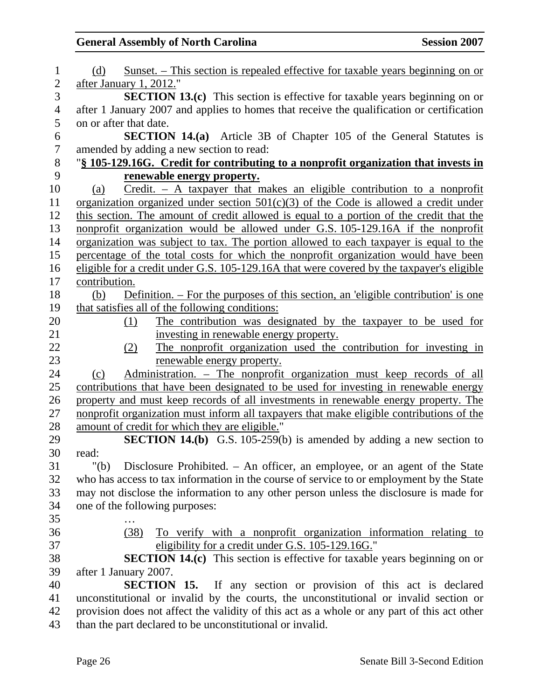| 1                        | <u>Sunset. – This section is repealed effective for taxable years beginning on or</u><br>(d) |
|--------------------------|----------------------------------------------------------------------------------------------|
| $\overline{2}$           | after January 1, 2012."                                                                      |
| 3                        | <b>SECTION 13.(c)</b> This section is effective for taxable years beginning on or            |
| $\overline{\mathcal{A}}$ | after 1 January 2007 and applies to homes that receive the qualification or certification    |
| 5                        | on or after that date.                                                                       |
| 6                        | <b>SECTION 14.(a)</b> Article 3B of Chapter 105 of the General Statutes is                   |
| $\tau$                   | amended by adding a new section to read:                                                     |
| 8                        | "§ 105-129.16G. Credit for contributing to a nonprofit organization that invests in          |
| 9                        | renewable energy property.                                                                   |
| 10                       | $Credit. - A targayer that makes an eligible contribution to a nonprofit$<br>(a)             |
| 11                       | organization organized under section $501(c)(3)$ of the Code is allowed a credit under       |
| 12                       | this section. The amount of credit allowed is equal to a portion of the credit that the      |
| 13                       | nonprofit organization would be allowed under G.S. 105-129.16A if the nonprofit              |
| 14                       | organization was subject to tax. The portion allowed to each taxpayer is equal to the        |
| 15                       | percentage of the total costs for which the nonprofit organization would have been           |
| 16                       | eligible for a credit under G.S. 105-129.16A that were covered by the taxpayer's eligible    |
| 17                       | contribution.                                                                                |
| 18                       | Definition. – For the purposes of this section, an 'eligible contribution' is one<br>(b)     |
| 19                       | that satisfies all of the following conditions:                                              |
| 20                       | The contribution was designated by the taxpayer to be used for<br>(1)                        |
| 21                       | investing in renewable energy property.                                                      |
| 22                       | The nonprofit organization used the contribution for investing in<br>(2)                     |
| 23                       | renewable energy property.                                                                   |
| 24                       | Administration. – The nonprofit organization must keep records of all<br>(c)                 |
| 25                       | contributions that have been designated to be used for investing in renewable energy         |
| 26                       | property and must keep records of all investments in renewable energy property. The          |
| 27                       | nonprofit organization must inform all taxpayers that make eligible contributions of the     |
| 28                       | amount of credit for which they are eligible."                                               |
| 29                       | <b>SECTION 14.(b)</b> G.S. 105-259(b) is amended by adding a new section to                  |
| 30                       | read:                                                                                        |
| 31                       | Disclosure Prohibited. - An officer, an employee, or an agent of the State<br>" $(b)$        |
| 32                       | who has access to tax information in the course of service to or employment by the State     |
| 33                       | may not disclose the information to any other person unless the disclosure is made for       |
| 34                       | one of the following purposes:                                                               |
| 35                       |                                                                                              |
| 36                       | (38)<br>To verify with a nonprofit organization information relating to                      |
| 37                       | eligibility for a credit under G.S. 105-129.16G."                                            |
| 38                       | <b>SECTION 14.(c)</b> This section is effective for taxable years beginning on or            |
| 39                       | after 1 January 2007.                                                                        |
| 40                       | <b>SECTION 15.</b><br>If any section or provision of this act is declared                    |
| 41                       | unconstitutional or invalid by the courts, the unconstitutional or invalid section or        |
| 42                       | provision does not affect the validity of this act as a whole or any part of this act other  |
| 43                       | than the part declared to be unconstitutional or invalid.                                    |